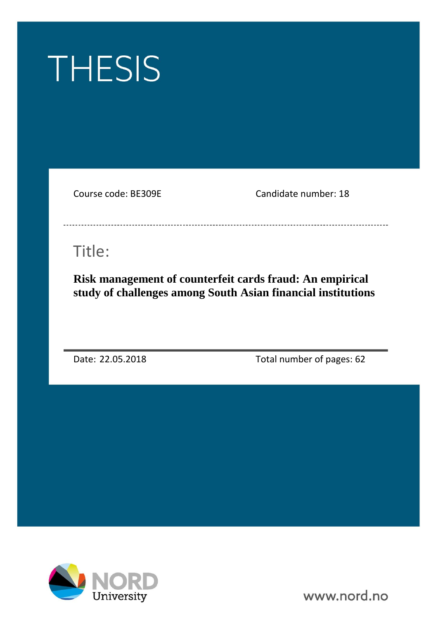

Course code: BE309E Candidate number: 18

------------------------------

# Title:

**Risk management of counterfeit cards fraud: An empirical study of challenges among South Asian financial institutions**

Date: 22.05.2018 Total number of pages: 62



www.nord.no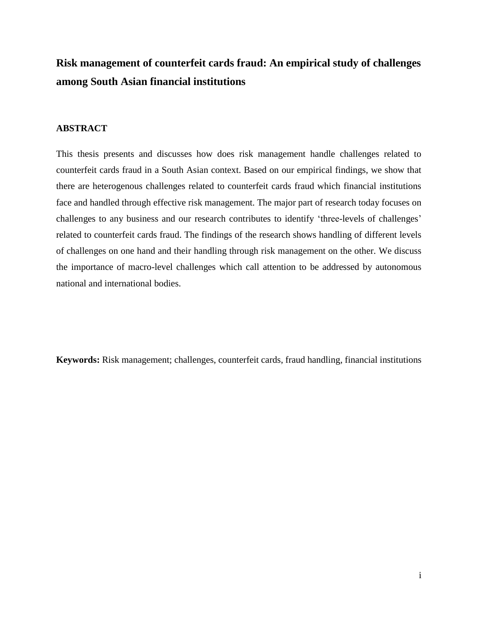## **Risk management of counterfeit cards fraud: An empirical study of challenges among South Asian financial institutions**

### **ABSTRACT**

This thesis presents and discusses how does risk management handle challenges related to counterfeit cards fraud in a South Asian context. Based on our empirical findings, we show that there are heterogenous challenges related to counterfeit cards fraud which financial institutions face and handled through effective risk management. The major part of research today focuses on challenges to any business and our research contributes to identify 'three-levels of challenges' related to counterfeit cards fraud. The findings of the research shows handling of different levels of challenges on one hand and their handling through risk management on the other. We discuss the importance of macro-level challenges which call attention to be addressed by autonomous national and international bodies.

**Keywords:** Risk management; challenges, counterfeit cards, fraud handling, financial institutions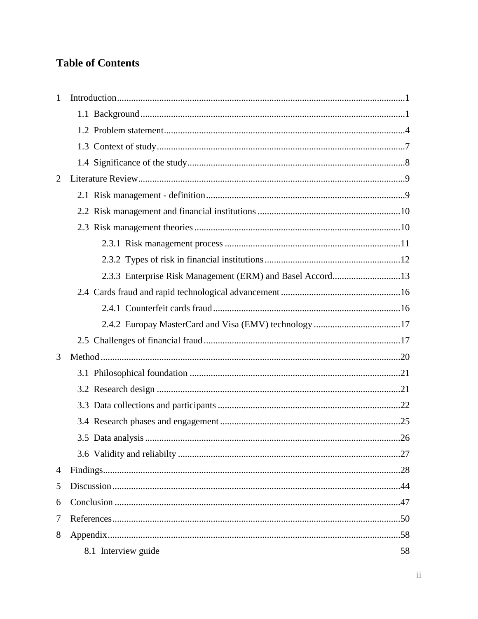## **Table of Contents**

| $\mathbf{1}$   |                                                           |    |  |
|----------------|-----------------------------------------------------------|----|--|
|                |                                                           |    |  |
|                |                                                           |    |  |
|                |                                                           |    |  |
|                |                                                           |    |  |
| $\overline{2}$ |                                                           |    |  |
|                |                                                           |    |  |
|                |                                                           |    |  |
|                |                                                           |    |  |
|                |                                                           |    |  |
|                |                                                           |    |  |
|                | 2.3.3 Enterprise Risk Management (ERM) and Basel Accord13 |    |  |
|                |                                                           |    |  |
|                |                                                           |    |  |
|                | 2.4.2 Europay MasterCard and Visa (EMV) technology 17     |    |  |
|                |                                                           |    |  |
| 3              |                                                           |    |  |
|                |                                                           |    |  |
|                |                                                           |    |  |
|                |                                                           |    |  |
|                |                                                           |    |  |
|                |                                                           |    |  |
|                |                                                           |    |  |
| 4              |                                                           |    |  |
| 5              |                                                           |    |  |
| 6              |                                                           |    |  |
| 7              |                                                           |    |  |
| 8              |                                                           |    |  |
|                | 8.1 Interview guide                                       | 58 |  |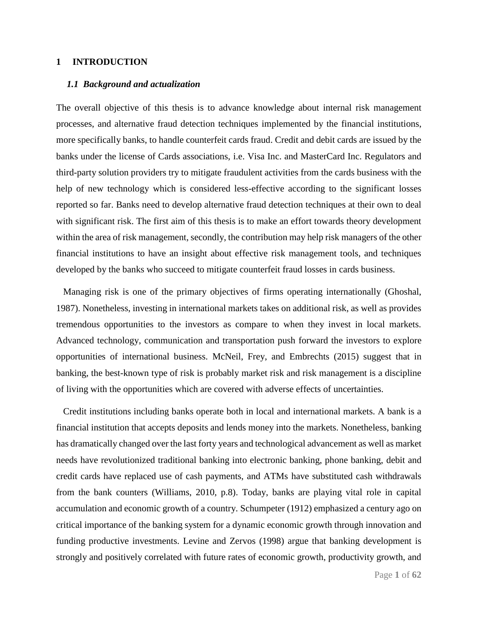### **1 INTRODUCTION**

#### *1.1 Background and actualization*

The overall objective of this thesis is to advance knowledge about internal risk management processes, and alternative fraud detection techniques implemented by the financial institutions, more specifically banks, to handle counterfeit cards fraud. Credit and debit cards are issued by the banks under the license of Cards associations, i.e. Visa Inc. and MasterCard Inc. Regulators and third-party solution providers try to mitigate fraudulent activities from the cards business with the help of new technology which is considered less-effective according to the significant losses reported so far. Banks need to develop alternative fraud detection techniques at their own to deal with significant risk. The first aim of this thesis is to make an effort towards theory development within the area of risk management, secondly, the contribution may help risk managers of the other financial institutions to have an insight about effective risk management tools, and techniques developed by the banks who succeed to mitigate counterfeit fraud losses in cards business.

 Managing risk is one of the primary objectives of firms operating internationally (Ghoshal, 1987). Nonetheless, investing in international markets takes on additional risk, as well as provides tremendous opportunities to the investors as compare to when they invest in local markets. Advanced technology, communication and transportation push forward the investors to explore opportunities of international business. McNeil, Frey, and Embrechts (2015) suggest that in banking, the best-known type of risk is probably market risk and risk management is a discipline of living with the opportunities which are covered with adverse effects of uncertainties.

 Credit institutions including banks operate both in local and international markets. A bank is a financial institution that accepts deposits and lends money into the markets. Nonetheless, banking has dramatically changed over the last forty years and technological advancement as well as market needs have revolutionized traditional banking into electronic banking, phone banking, debit and credit cards have replaced use of cash payments, and ATMs have substituted cash withdrawals from the bank counters (Williams, 2010, p.8). Today, banks are playing vital role in capital accumulation and economic growth of a country. Schumpeter (1912) emphasized a century ago on critical importance of the banking system for a dynamic economic growth through innovation and funding productive investments. Levine and Zervos (1998) argue that banking development is strongly and positively correlated with future rates of economic growth, productivity growth, and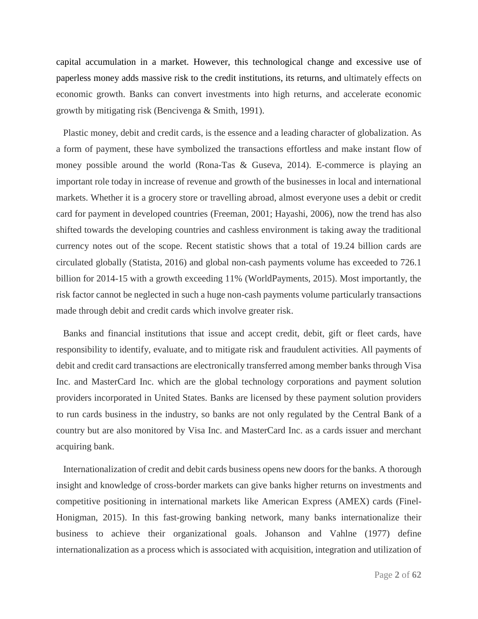capital accumulation in a market. However, this technological change and excessive use of paperless money adds massive risk to the credit institutions, its returns, and ultimately effects on economic growth. Banks can convert investments into high returns, and accelerate economic growth by mitigating risk (Bencivenga & Smith, 1991).

 Plastic money, debit and credit cards, is the essence and a leading character of globalization. As a form of payment, these have symbolized the transactions effortless and make instant flow of money possible around the world (Rona-Tas & Guseva, 2014). E-commerce is playing an important role today in increase of revenue and growth of the businesses in local and international markets. Whether it is a grocery store or travelling abroad, almost everyone uses a debit or credit card for payment in developed countries (Freeman, 2001; Hayashi, 2006), now the trend has also shifted towards the developing countries and cashless environment is taking away the traditional currency notes out of the scope. Recent statistic shows that a total of 19.24 billion cards are circulated globally (Statista, 2016) and global non-cash payments volume has exceeded to 726.1 billion for 2014-15 with a growth exceeding 11% (WorldPayments, 2015). Most importantly, the risk factor cannot be neglected in such a huge non-cash payments volume particularly transactions made through debit and credit cards which involve greater risk.

 Banks and financial institutions that issue and accept credit, debit, gift or fleet cards, have responsibility to identify, evaluate, and to mitigate risk and fraudulent activities. All payments of debit and credit card transactions are electronically transferred among member banks through Visa Inc. and MasterCard Inc. which are the global technology corporations and payment solution providers incorporated in United States. Banks are licensed by these payment solution providers to run cards business in the industry, so banks are not only regulated by the Central Bank of a country but are also monitored by Visa Inc. and MasterCard Inc. as a cards issuer and merchant acquiring bank.

 Internationalization of credit and debit cards business opens new doors for the banks. A thorough insight and knowledge of cross-border markets can give banks higher returns on investments and competitive positioning in international markets like American Express (AMEX) cards (Finel-Honigman, 2015). In this fast-growing banking network, many banks internationalize their business to achieve their organizational goals. Johanson and Vahlne (1977) define internationalization as a process which is associated with acquisition, integration and utilization of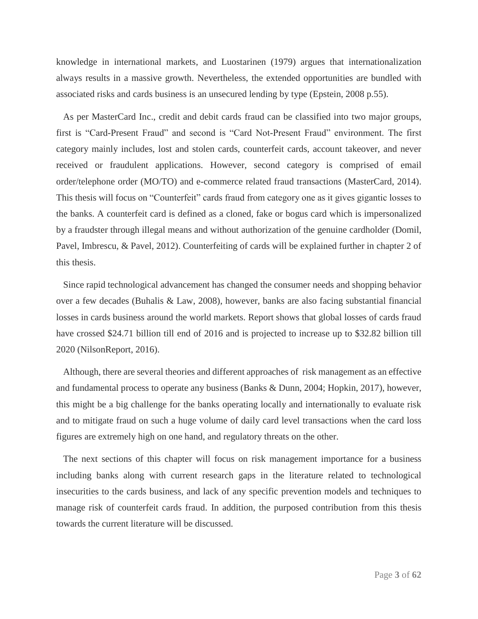knowledge in international markets, and Luostarinen (1979) argues that internationalization always results in a massive growth. Nevertheless, the extended opportunities are bundled with associated risks and cards business is an unsecured lending by type (Epstein, 2008 p.55).

 As per MasterCard Inc., credit and debit cards fraud can be classified into two major groups, first is "Card-Present Fraud" and second is "Card Not-Present Fraud" environment. The first category mainly includes, lost and stolen cards, counterfeit cards, account takeover, and never received or fraudulent applications. However, second category is comprised of email order/telephone order (MO/TO) and e-commerce related fraud transactions (MasterCard, 2014). This thesis will focus on "Counterfeit" cards fraud from category one as it gives gigantic losses to the banks. A counterfeit card is defined as a cloned, fake or bogus card which is impersonalized by a fraudster through illegal means and without authorization of the genuine cardholder (Domil, Pavel, Imbrescu, & Pavel, 2012). Counterfeiting of cards will be explained further in chapter 2 of this thesis.

 Since rapid technological advancement has changed the consumer needs and shopping behavior over a few decades (Buhalis & Law, 2008), however, banks are also facing substantial financial losses in cards business around the world markets. Report shows that global losses of cards fraud have crossed \$24.71 billion till end of 2016 and is projected to increase up to \$32.82 billion till 2020 (NilsonReport, 2016).

 Although, there are several theories and different approaches of risk management as an effective and fundamental process to operate any business (Banks & Dunn, 2004; Hopkin, 2017), however, this might be a big challenge for the banks operating locally and internationally to evaluate risk and to mitigate fraud on such a huge volume of daily card level transactions when the card loss figures are extremely high on one hand, and regulatory threats on the other.

 The next sections of this chapter will focus on risk management importance for a business including banks along with current research gaps in the literature related to technological insecurities to the cards business, and lack of any specific prevention models and techniques to manage risk of counterfeit cards fraud. In addition, the purposed contribution from this thesis towards the current literature will be discussed.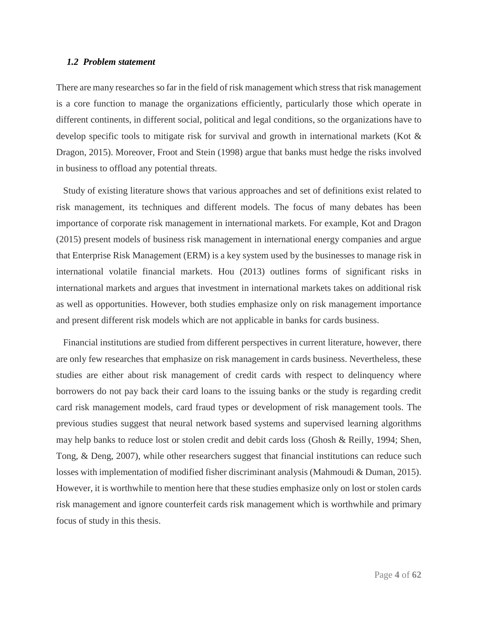### *1.2 Problem statement*

There are many researches so far in the field of risk management which stress that risk management is a core function to manage the organizations efficiently, particularly those which operate in different continents, in different social, political and legal conditions, so the organizations have to develop specific tools to mitigate risk for survival and growth in international markets (Kot & Dragon, 2015). Moreover, Froot and Stein (1998) argue that banks must hedge the risks involved in business to offload any potential threats.

 Study of existing literature shows that various approaches and set of definitions exist related to risk management, its techniques and different models. The focus of many debates has been importance of corporate risk management in international markets. For example, Kot and Dragon (2015) present models of business risk management in international energy companies and argue that Enterprise Risk Management (ERM) is a key system used by the businesses to manage risk in international volatile financial markets. Hou (2013) outlines forms of significant risks in international markets and argues that investment in international markets takes on additional risk as well as opportunities. However, both studies emphasize only on risk management importance and present different risk models which are not applicable in banks for cards business.

 Financial institutions are studied from different perspectives in current literature, however, there are only few researches that emphasize on risk management in cards business. Nevertheless, these studies are either about risk management of credit cards with respect to delinquency where borrowers do not pay back their card loans to the issuing banks or the study is regarding credit card risk management models, card fraud types or development of risk management tools. The previous studies suggest that neural network based systems and supervised learning algorithms may help banks to reduce lost or stolen credit and debit cards loss (Ghosh & Reilly, 1994; Shen, Tong, & Deng, 2007), while other researchers suggest that financial institutions can reduce such losses with implementation of modified fisher discriminant analysis (Mahmoudi & Duman, 2015). However, it is worthwhile to mention here that these studies emphasize only on lost or stolen cards risk management and ignore counterfeit cards risk management which is worthwhile and primary focus of study in this thesis.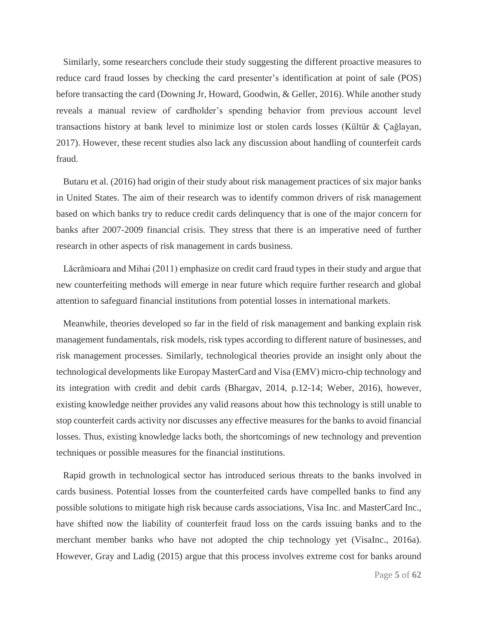Similarly, some researchers conclude their study suggesting the different proactive measures to reduce card fraud losses by checking the card presenter's identification at point of sale (POS) before transacting the card (Downing Jr, Howard, Goodwin, & Geller, 2016). While another study reveals a manual review of cardholder's spending behavior from previous account level transactions history at bank level to minimize lost or stolen cards losses (Kültür & Çağlayan, 2017). However, these recent studies also lack any discussion about handling of counterfeit cards fraud.

 Butaru et al. (2016) had origin of their study about risk management practices of six major banks in United States. The aim of their research was to identify common drivers of risk management based on which banks try to reduce credit cards delinquency that is one of the major concern for banks after 2007-2009 financial crisis. They stress that there is an imperative need of further research in other aspects of risk management in cards business.

 Lăcrămioara and Mihai (2011) emphasize on credit card fraud types in their study and argue that new counterfeiting methods will emerge in near future which require further research and global attention to safeguard financial institutions from potential losses in international markets.

 Meanwhile, theories developed so far in the field of risk management and banking explain risk management fundamentals, risk models, risk types according to different nature of businesses, and risk management processes. Similarly, technological theories provide an insight only about the technological developments like Europay MasterCard and Visa (EMV) micro-chip technology and its integration with credit and debit cards (Bhargav, 2014, p.12-14; Weber, 2016), however, existing knowledge neither provides any valid reasons about how this technology is still unable to stop counterfeit cards activity nor discusses any effective measures for the banks to avoid financial losses. Thus, existing knowledge lacks both, the shortcomings of new technology and prevention techniques or possible measures for the financial institutions.

 Rapid growth in technological sector has introduced serious threats to the banks involved in cards business. Potential losses from the counterfeited cards have compelled banks to find any possible solutions to mitigate high risk because cards associations, Visa Inc. and MasterCard Inc., have shifted now the liability of counterfeit fraud loss on the cards issuing banks and to the merchant member banks who have not adopted the chip technology yet (VisaInc., 2016a). However, Gray and Ladig (2015) argue that this process involves extreme cost for banks around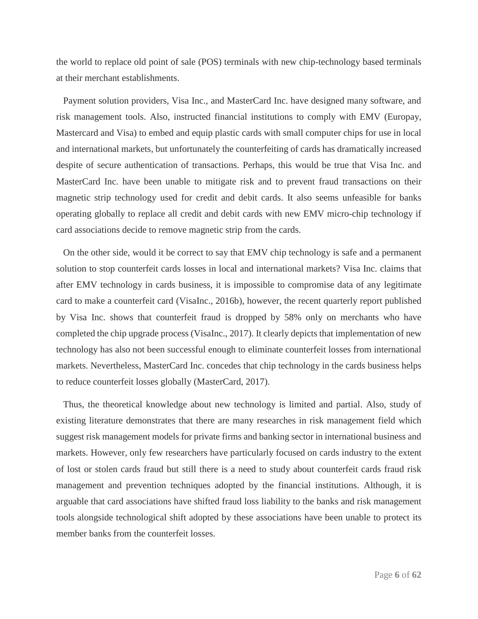the world to replace old point of sale (POS) terminals with new chip-technology based terminals at their merchant establishments.

 Payment solution providers, Visa Inc., and MasterCard Inc. have designed many software, and risk management tools. Also, instructed financial institutions to comply with EMV (Europay, Mastercard and Visa) to embed and equip plastic cards with small computer chips for use in local and international markets, but unfortunately the counterfeiting of cards has dramatically increased despite of secure authentication of transactions. Perhaps, this would be true that Visa Inc. and MasterCard Inc. have been unable to mitigate risk and to prevent fraud transactions on their magnetic strip technology used for credit and debit cards. It also seems unfeasible for banks operating globally to replace all credit and debit cards with new EMV micro-chip technology if card associations decide to remove magnetic strip from the cards.

 On the other side, would it be correct to say that EMV chip technology is safe and a permanent solution to stop counterfeit cards losses in local and international markets? Visa Inc. claims that after EMV technology in cards business, it is impossible to compromise data of any legitimate card to make a counterfeit card (VisaInc., 2016b), however, the recent quarterly report published by Visa Inc. shows that counterfeit fraud is dropped by 58% only on merchants who have completed the chip upgrade process (VisaInc., 2017). It clearly depicts that implementation of new technology has also not been successful enough to eliminate counterfeit losses from international markets. Nevertheless, MasterCard Inc. concedes that chip technology in the cards business helps to reduce counterfeit losses globally (MasterCard, 2017).

 Thus, the theoretical knowledge about new technology is limited and partial. Also, study of existing literature demonstrates that there are many researches in risk management field which suggest risk management models for private firms and banking sector in international business and markets. However, only few researchers have particularly focused on cards industry to the extent of lost or stolen cards fraud but still there is a need to study about counterfeit cards fraud risk management and prevention techniques adopted by the financial institutions. Although, it is arguable that card associations have shifted fraud loss liability to the banks and risk management tools alongside technological shift adopted by these associations have been unable to protect its member banks from the counterfeit losses.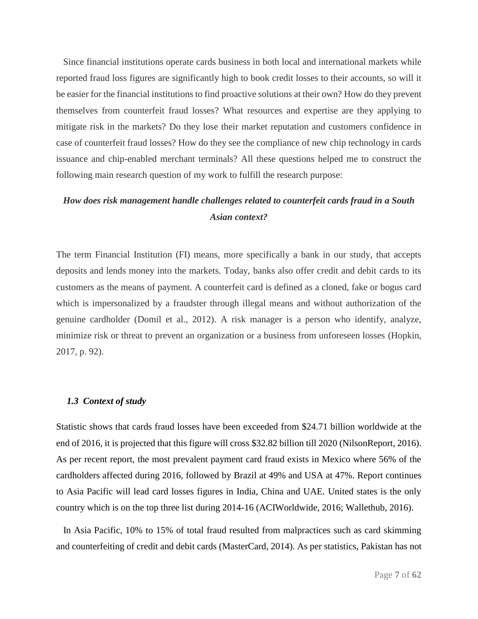Since financial institutions operate cards business in both local and international markets while reported fraud loss figures are significantly high to book credit losses to their accounts, so will it be easier for the financial institutions to find proactive solutions at their own? How do they prevent themselves from counterfeit fraud losses? What resources and expertise are they applying to mitigate risk in the markets? Do they lose their market reputation and customers confidence in case of counterfeit fraud losses? How do they see the compliance of new chip technology in cards issuance and chip-enabled merchant terminals? All these questions helped me to construct the following main research question of my work to fulfill the research purpose:

### *How does risk management handle challenges related to counterfeit cards fraud in a South Asian context?*

The term Financial Institution (FI) means, more specifically a bank in our study, that accepts deposits and lends money into the markets. Today, banks also offer credit and debit cards to its customers as the means of payment. A counterfeit card is defined as a cloned, fake or bogus card which is impersonalized by a fraudster through illegal means and without authorization of the genuine cardholder (Domil et al., 2012). A risk manager is a person who identify, analyze, minimize risk or threat to prevent an organization or a business from unforeseen losses (Hopkin, 2017, p. 92).

### *1.3 Context of study*

Statistic shows that cards fraud losses have been exceeded from \$24.71 billion worldwide at the end of 2016, it is projected that this figure will cross \$32.82 billion till 2020 (NilsonReport, 2016). As per recent report, the most prevalent payment card fraud exists in Mexico where 56% of the cardholders affected during 2016, followed by Brazil at 49% and USA at 47%. Report continues to Asia Pacific will lead card losses figures in India, China and UAE. United states is the only country which is on the top three list during 2014-16 (ACIWorldwide, 2016; Wallethub, 2016).

 In Asia Pacific, 10% to 15% of total fraud resulted from malpractices such as card skimming and counterfeiting of credit and debit cards (MasterCard, 2014). As per statistics, Pakistan has not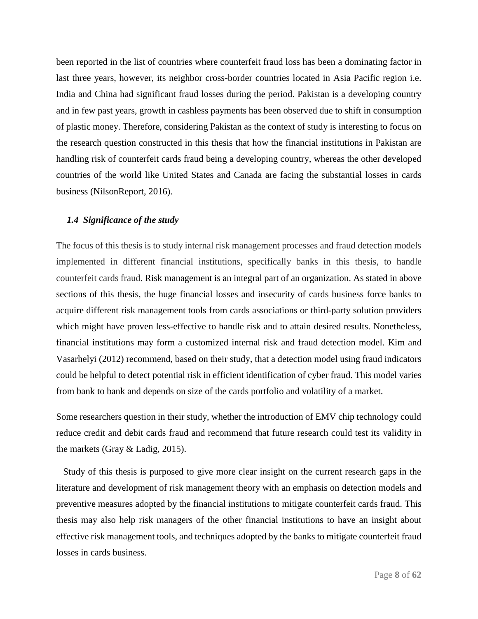been reported in the list of countries where counterfeit fraud loss has been a dominating factor in last three years, however, its neighbor cross-border countries located in Asia Pacific region i.e. India and China had significant fraud losses during the period. Pakistan is a developing country and in few past years, growth in cashless payments has been observed due to shift in consumption of plastic money. Therefore, considering Pakistan as the context of study is interesting to focus on the research question constructed in this thesis that how the financial institutions in Pakistan are handling risk of counterfeit cards fraud being a developing country, whereas the other developed countries of the world like United States and Canada are facing the substantial losses in cards business (NilsonReport, 2016).

### *1.4 Significance of the study*

The focus of this thesis is to study internal risk management processes and fraud detection models implemented in different financial institutions, specifically banks in this thesis, to handle counterfeit cards fraud. Risk management is an integral part of an organization. As stated in above sections of this thesis, the huge financial losses and insecurity of cards business force banks to acquire different risk management tools from cards associations or third-party solution providers which might have proven less-effective to handle risk and to attain desired results. Nonetheless, financial institutions may form a customized internal risk and fraud detection model. Kim and Vasarhelyi (2012) recommend, based on their study, that a detection model using fraud indicators could be helpful to detect potential risk in efficient identification of cyber fraud. This model varies from bank to bank and depends on size of the cards portfolio and volatility of a market.

Some researchers question in their study, whether the introduction of EMV chip technology could reduce credit and debit cards fraud and recommend that future research could test its validity in the markets (Gray & Ladig, 2015).

 Study of this thesis is purposed to give more clear insight on the current research gaps in the literature and development of risk management theory with an emphasis on detection models and preventive measures adopted by the financial institutions to mitigate counterfeit cards fraud. This thesis may also help risk managers of the other financial institutions to have an insight about effective risk management tools, and techniques adopted by the banks to mitigate counterfeit fraud losses in cards business.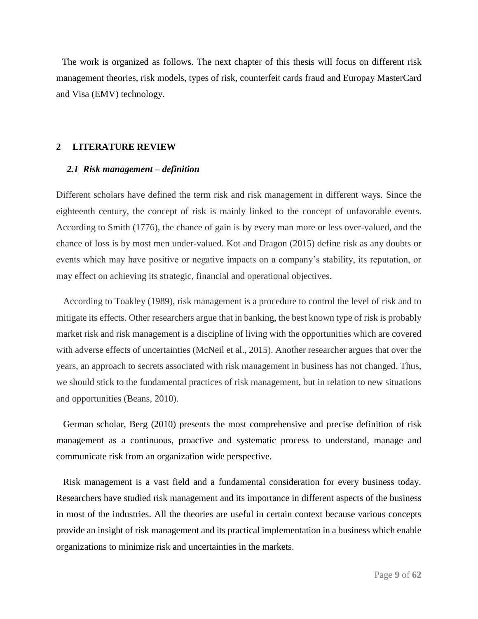The work is organized as follows. The next chapter of this thesis will focus on different risk management theories, risk models, types of risk, counterfeit cards fraud and Europay MasterCard and Visa (EMV) technology.

### **2 LITERATURE REVIEW**

### *2.1 Risk management – definition*

Different scholars have defined the term risk and risk management in different ways. Since the eighteenth century, the concept of risk is mainly linked to the concept of unfavorable events. According to Smith (1776), the chance of gain is by every man more or less over-valued, and the chance of loss is by most men under-valued. Kot and Dragon (2015) define risk as any doubts or events which may have positive or negative impacts on a company's stability, its reputation, or may effect on achieving its strategic, financial and operational objectives.

 According to Toakley (1989), risk management is a procedure to control the level of risk and to mitigate its effects. Other researchers argue that in banking, the best known type of risk is probably market risk and risk management is a discipline of living with the opportunities which are covered with adverse effects of uncertainties (McNeil et al., 2015). Another researcher argues that over the years, an approach to secrets associated with risk management in business has not changed. Thus, we should stick to the fundamental practices of risk management, but in relation to new situations and opportunities (Beans, 2010).

German scholar, Berg (2010) presents the most comprehensive and precise definition of risk management as a continuous, proactive and systematic process to understand, manage and communicate risk from an organization wide perspective.

 Risk management is a vast field and a fundamental consideration for every business today. Researchers have studied risk management and its importance in different aspects of the business in most of the industries. All the theories are useful in certain context because various concepts provide an insight of risk management and its practical implementation in a business which enable organizations to minimize risk and uncertainties in the markets.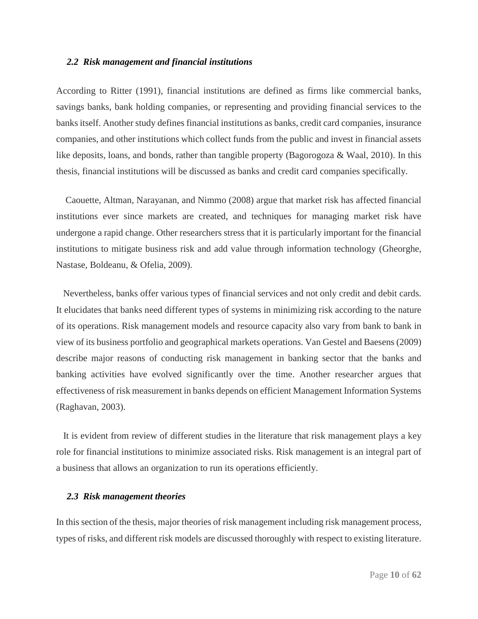#### *2.2 Risk management and financial institutions*

According to Ritter (1991), financial institutions are defined as firms like commercial banks, savings banks, bank holding companies, or representing and providing financial services to the banks itself. Another study defines financial institutions as banks, credit card companies, insurance companies, and other institutions which collect funds from the public and invest in financial assets like deposits, loans, and bonds, rather than tangible property (Bagorogoza & Waal, 2010). In this thesis, financial institutions will be discussed as banks and credit card companies specifically.

 Caouette, Altman, Narayanan, and Nimmo (2008) argue that market risk has affected financial institutions ever since markets are created, and techniques for managing market risk have undergone a rapid change. Other researchers stress that it is particularly important for the financial institutions to mitigate business risk and add value through information technology (Gheorghe, Nastase, Boldeanu, & Ofelia, 2009).

 Nevertheless, banks offer various types of financial services and not only credit and debit cards. It elucidates that banks need different types of systems in minimizing risk according to the nature of its operations. Risk management models and resource capacity also vary from bank to bank in view of its business portfolio and geographical markets operations. Van Gestel and Baesens (2009) describe major reasons of conducting risk management in banking sector that the banks and banking activities have evolved significantly over the time. Another researcher argues that effectiveness of risk measurement in banks depends on efficient Management Information Systems (Raghavan, 2003).

 It is evident from review of different studies in the literature that risk management plays a key role for financial institutions to minimize associated risks. Risk management is an integral part of a business that allows an organization to run its operations efficiently.

#### *2.3 Risk management theories*

In this section of the thesis, major theories of risk management including risk management process, types of risks, and different risk models are discussed thoroughly with respect to existing literature.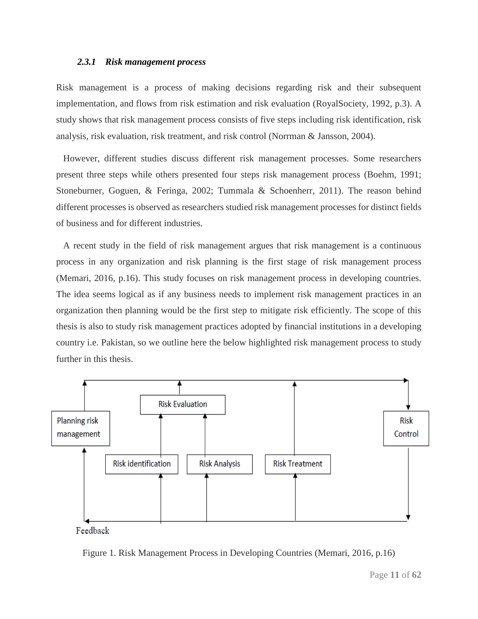#### *2.3.1 Risk management process*

Risk management is a process of making decisions regarding risk and their subsequent implementation, and flows from risk estimation and risk evaluation (RoyalSociety, 1992, p.3). A study shows that risk management process consists of five steps including risk identification, risk analysis, risk evaluation, risk treatment, and risk control (Norrman & Jansson, 2004).

 However, different studies discuss different risk management processes. Some researchers present three steps while others presented four steps risk management process (Boehm, 1991; Stoneburner, Goguen, & Feringa, 2002; Tummala & Schoenherr, 2011). The reason behind different processes is observed as researchers studied risk management processes for distinct fields of business and for different industries.

 A recent study in the field of risk management argues that risk management is a continuous process in any organization and risk planning is the first stage of risk management process (Memari, 2016, p.16). This study focuses on risk management process in developing countries. The idea seems logical as if any business needs to implement risk management practices in an organization then planning would be the first step to mitigate risk efficiently. The scope of this thesis is also to study risk management practices adopted by financial institutions in a developing country i.e. Pakistan, so we outline here the below highlighted risk management process to study further in this thesis.



Feedback

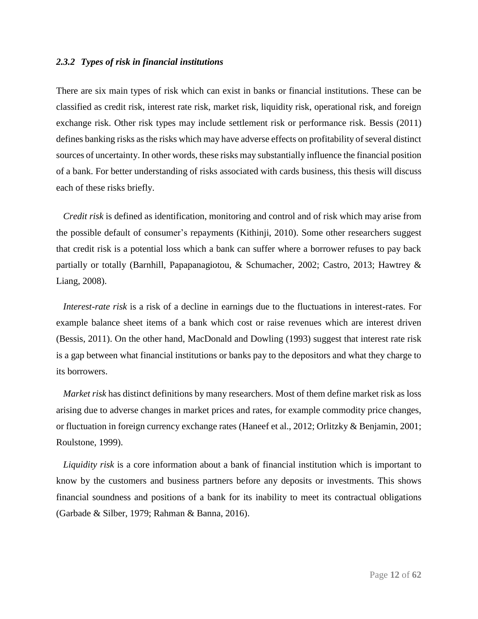### *2.3.2 Types of risk in financial institutions*

There are six main types of risk which can exist in banks or financial institutions. These can be classified as credit risk, interest rate risk, market risk, liquidity risk, operational risk, and foreign exchange risk. Other risk types may include settlement risk or performance risk. Bessis (2011) defines banking risks as the risks which may have adverse effects on profitability of several distinct sources of uncertainty. In other words, these risks may substantially influence the financial position of a bank. For better understanding of risks associated with cards business, this thesis will discuss each of these risks briefly.

 *Credit risk* is defined as identification, monitoring and control and of risk which may arise from the possible default of consumer's repayments (Kithinji, 2010). Some other researchers suggest that credit risk is a potential loss which a bank can suffer where a borrower refuses to pay back partially or totally (Barnhill, Papapanagiotou, & Schumacher, 2002; Castro, 2013; Hawtrey & Liang, 2008).

 *Interest-rate risk* is a risk of a decline in earnings due to the fluctuations in interest-rates. For example balance sheet items of a bank which cost or raise revenues which are interest driven (Bessis, 2011). On the other hand, MacDonald and Dowling (1993) suggest that interest rate risk is a gap between what financial institutions or banks pay to the depositors and what they charge to its borrowers.

 *Market risk* has distinct definitions by many researchers. Most of them define market risk as loss arising due to adverse changes in market prices and rates, for example commodity price changes, or fluctuation in foreign currency exchange rates (Haneef et al., 2012; Orlitzky & Benjamin, 2001; Roulstone, 1999).

 *Liquidity risk* is a core information about a bank of financial institution which is important to know by the customers and business partners before any deposits or investments. This shows financial soundness and positions of a bank for its inability to meet its contractual obligations (Garbade & Silber, 1979; Rahman & Banna, 2016).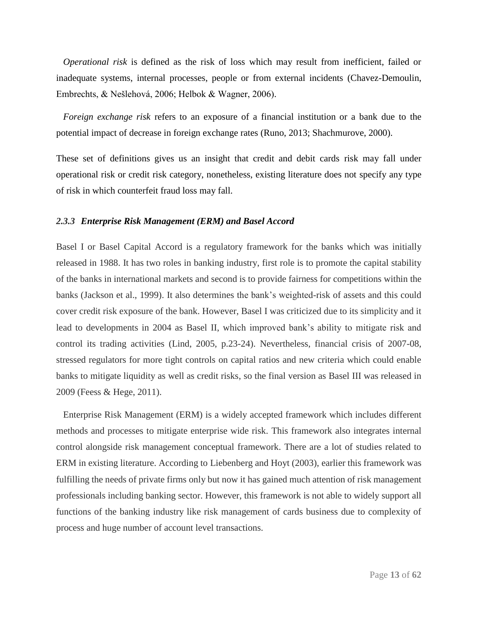*Operational risk* is defined as the risk of loss which may result from inefficient, failed or inadequate systems, internal processes, people or from external incidents (Chavez-Demoulin, Embrechts, & Nešlehová, 2006; Helbok & Wagner, 2006).

 *Foreign exchange risk* refers to an exposure of a financial institution or a bank due to the potential impact of decrease in foreign exchange rates (Runo, 2013; Shachmurove, 2000).

These set of definitions gives us an insight that credit and debit cards risk may fall under operational risk or credit risk category, nonetheless, existing literature does not specify any type of risk in which counterfeit fraud loss may fall.

### *2.3.3 Enterprise Risk Management (ERM) and Basel Accord*

Basel I or Basel Capital Accord is a regulatory framework for the banks which was initially released in 1988. It has two roles in banking industry, first role is to promote the capital stability of the banks in international markets and second is to provide fairness for competitions within the banks (Jackson et al., 1999). It also determines the bank's weighted-risk of assets and this could cover credit risk exposure of the bank. However, Basel I was criticized due to its simplicity and it lead to developments in 2004 as Basel II, which improved bank's ability to mitigate risk and control its trading activities (Lind, 2005, p.23-24). Nevertheless, financial crisis of 2007-08, stressed regulators for more tight controls on capital ratios and new criteria which could enable banks to mitigate liquidity as well as credit risks, so the final version as Basel III was released in 2009 (Feess & Hege, 2011).

 Enterprise Risk Management (ERM) is a widely accepted framework which includes different methods and processes to mitigate enterprise wide risk. This framework also integrates internal control alongside risk management conceptual framework. There are a lot of studies related to ERM in existing literature. According to Liebenberg and Hoyt (2003), earlier this framework was fulfilling the needs of private firms only but now it has gained much attention of risk management professionals including banking sector. However, this framework is not able to widely support all functions of the banking industry like risk management of cards business due to complexity of process and huge number of account level transactions.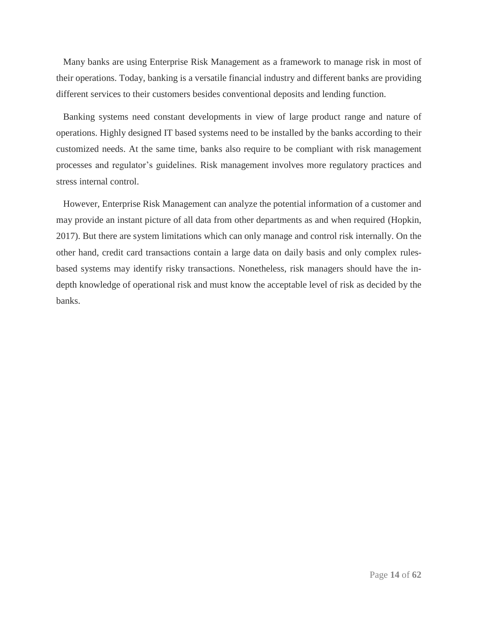Many banks are using Enterprise Risk Management as a framework to manage risk in most of their operations. Today, banking is a versatile financial industry and different banks are providing different services to their customers besides conventional deposits and lending function.

 Banking systems need constant developments in view of large product range and nature of operations. Highly designed IT based systems need to be installed by the banks according to their customized needs. At the same time, banks also require to be compliant with risk management processes and regulator's guidelines. Risk management involves more regulatory practices and stress internal control.

 However, Enterprise Risk Management can analyze the potential information of a customer and may provide an instant picture of all data from other departments as and when required (Hopkin, 2017). But there are system limitations which can only manage and control risk internally. On the other hand, credit card transactions contain a large data on daily basis and only complex rulesbased systems may identify risky transactions. Nonetheless, risk managers should have the indepth knowledge of operational risk and must know the acceptable level of risk as decided by the banks.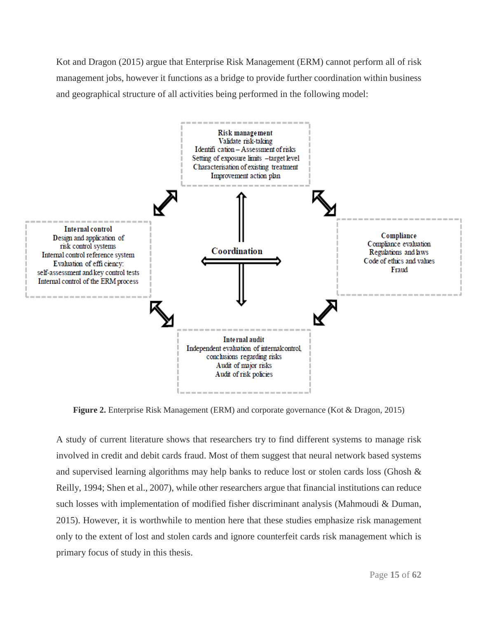Kot and Dragon (2015) argue that Enterprise Risk Management (ERM) cannot perform all of risk management jobs, however it functions as a bridge to provide further coordination within business and geographical structure of all activities being performed in the following model:



**Figure 2.** Enterprise Risk Management (ERM) and corporate governance (Kot & Dragon, 2015)

A study of current literature shows that researchers try to find different systems to manage risk involved in credit and debit cards fraud. Most of them suggest that neural network based systems and supervised learning algorithms may help banks to reduce lost or stolen cards loss (Ghosh & Reilly, 1994; Shen et al., 2007), while other researchers argue that financial institutions can reduce such losses with implementation of modified fisher discriminant analysis (Mahmoudi & Duman, 2015). However, it is worthwhile to mention here that these studies emphasize risk management only to the extent of lost and stolen cards and ignore counterfeit cards risk management which is primary focus of study in this thesis.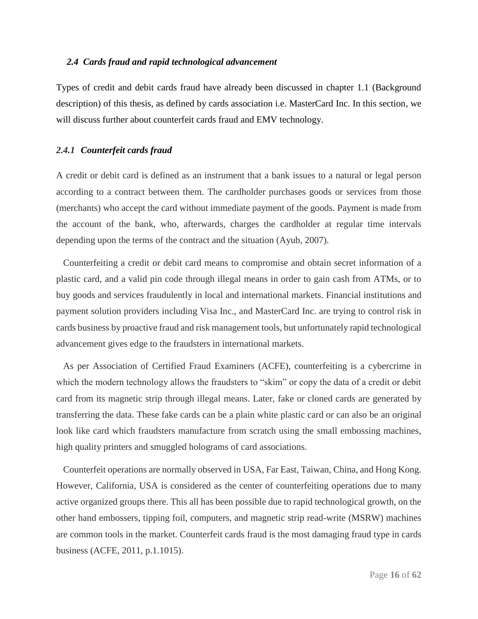#### *2.4 Cards fraud and rapid technological advancement*

Types of credit and debit cards fraud have already been discussed in chapter 1.1 (Background description) of this thesis, as defined by cards association i.e. MasterCard Inc. In this section, we will discuss further about counterfeit cards fraud and EMV technology.

### *2.4.1 Counterfeit cards fraud*

A credit or debit card is defined as an instrument that a bank issues to a natural or legal person according to a contract between them. The cardholder purchases goods or services from those (merchants) who accept the card without immediate payment of the goods. Payment is made from the account of the bank, who, afterwards, charges the cardholder at regular time intervals depending upon the terms of the contract and the situation (Ayub, 2007).

 Counterfeiting a credit or debit card means to compromise and obtain secret information of a plastic card, and a valid pin code through illegal means in order to gain cash from ATMs, or to buy goods and services fraudulently in local and international markets. Financial institutions and payment solution providers including Visa Inc., and MasterCard Inc. are trying to control risk in cards business by proactive fraud and risk management tools, but unfortunately rapid technological advancement gives edge to the fraudsters in international markets.

 As per Association of Certified Fraud Examiners (ACFE), counterfeiting is a cybercrime in which the modern technology allows the fraudsters to "skim" or copy the data of a credit or debit card from its magnetic strip through illegal means. Later, fake or cloned cards are generated by transferring the data. These fake cards can be a plain white plastic card or can also be an original look like card which fraudsters manufacture from scratch using the small embossing machines, high quality printers and smuggled holograms of card associations.

 Counterfeit operations are normally observed in USA, Far East, Taiwan, China, and Hong Kong. However, California, USA is considered as the center of counterfeiting operations due to many active organized groups there. This all has been possible due to rapid technological growth, on the other hand embossers, tipping foil, computers, and magnetic strip read-write (MSRW) machines are common tools in the market. Counterfeit cards fraud is the most damaging fraud type in cards business (ACFE, 2011, p.1.1015).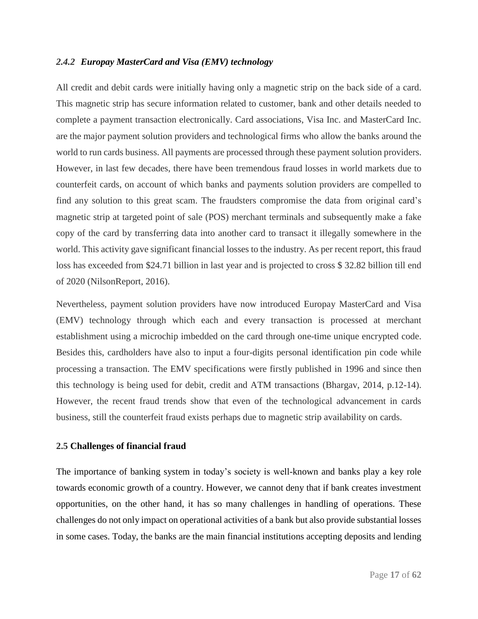### *2.4.2 Europay MasterCard and Visa (EMV) technology*

All credit and debit cards were initially having only a magnetic strip on the back side of a card. This magnetic strip has secure information related to customer, bank and other details needed to complete a payment transaction electronically. Card associations, Visa Inc. and MasterCard Inc. are the major payment solution providers and technological firms who allow the banks around the world to run cards business. All payments are processed through these payment solution providers. However, in last few decades, there have been tremendous fraud losses in world markets due to counterfeit cards, on account of which banks and payments solution providers are compelled to find any solution to this great scam. The fraudsters compromise the data from original card's magnetic strip at targeted point of sale (POS) merchant terminals and subsequently make a fake copy of the card by transferring data into another card to transact it illegally somewhere in the world. This activity gave significant financial losses to the industry. As per recent report, this fraud loss has exceeded from \$24.71 billion in last year and is projected to cross \$ 32.82 billion till end of 2020 (NilsonReport, 2016).

Nevertheless, payment solution providers have now introduced Europay MasterCard and Visa (EMV) technology through which each and every transaction is processed at merchant establishment using a microchip imbedded on the card through one-time unique encrypted code. Besides this, cardholders have also to input a four-digits personal identification pin code while processing a transaction. The EMV specifications were firstly published in 1996 and since then this technology is being used for debit, credit and ATM transactions (Bhargav, 2014, p.12-14). However, the recent fraud trends show that even of the technological advancement in cards business, still the counterfeit fraud exists perhaps due to magnetic strip availability on cards.

### **2.5 Challenges of financial fraud**

The importance of banking system in today's society is well-known and banks play a key role towards economic growth of a country. However, we cannot deny that if bank creates investment opportunities, on the other hand, it has so many challenges in handling of operations. These challenges do not only impact on operational activities of a bank but also provide substantial losses in some cases. Today, the banks are the main financial institutions accepting deposits and lending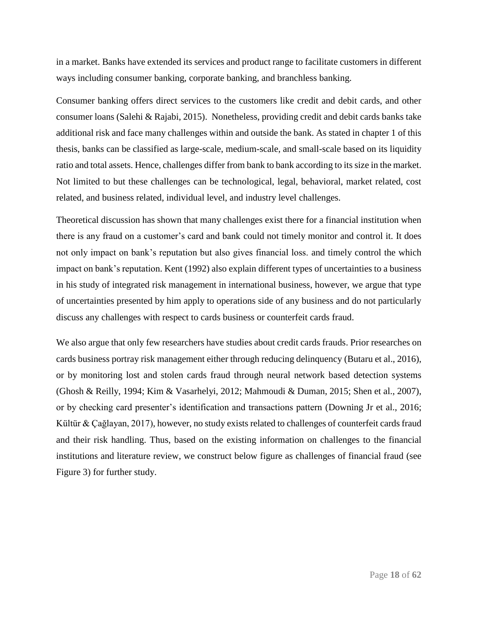in a market. Banks have extended its services and product range to facilitate customers in different ways including consumer banking, corporate banking, and branchless banking.

Consumer banking offers direct services to the customers like credit and debit cards, and other consumer loans (Salehi & Rajabi, 2015). Nonetheless, providing credit and debit cards banks take additional risk and face many challenges within and outside the bank. As stated in chapter 1 of this thesis, banks can be classified as large-scale, medium-scale, and small-scale based on its liquidity ratio and total assets. Hence, challenges differ from bank to bank according to its size in the market. Not limited to but these challenges can be technological, legal, behavioral, market related, cost related, and business related, individual level, and industry level challenges.

Theoretical discussion has shown that many challenges exist there for a financial institution when there is any fraud on a customer's card and bank could not timely monitor and control it. It does not only impact on bank's reputation but also gives financial loss. and timely control the which impact on bank's reputation. Kent (1992) also explain different types of uncertainties to a business in his study of integrated risk management in international business, however, we argue that type of uncertainties presented by him apply to operations side of any business and do not particularly discuss any challenges with respect to cards business or counterfeit cards fraud.

We also argue that only few researchers have studies about credit cards frauds. Prior researches on cards business portray risk management either through reducing delinquency (Butaru et al., 2016), or by monitoring lost and stolen cards fraud through neural network based detection systems (Ghosh & Reilly, 1994; Kim & Vasarhelyi, 2012; Mahmoudi & Duman, 2015; Shen et al., 2007), or by checking card presenter's identification and transactions pattern (Downing Jr et al., 2016; Kültür & Çağlayan, 2017), however, no study exists related to challenges of counterfeit cards fraud and their risk handling. Thus, based on the existing information on challenges to the financial institutions and literature review, we construct below figure as challenges of financial fraud (see Figure 3) for further study.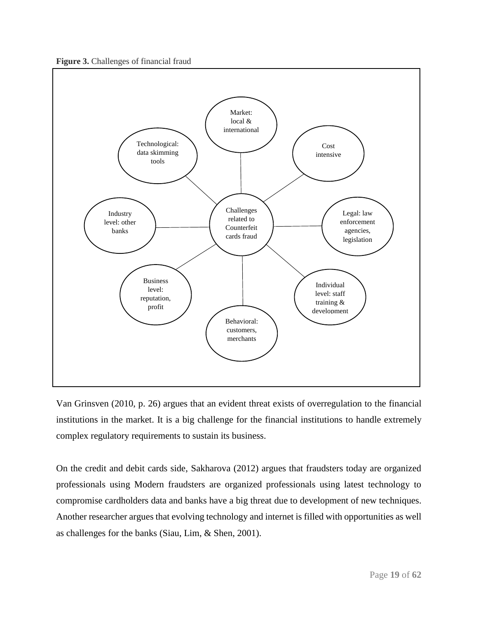



Van Grinsven (2010, p. 26) argues that an evident threat exists of overregulation to the financial institutions in the market. It is a big challenge for the financial institutions to handle extremely complex regulatory requirements to sustain its business.

On the credit and debit cards side, Sakharova (2012) argues that fraudsters today are organized professionals using Modern fraudsters are organized professionals using latest technology to compromise cardholders data and banks have a big threat due to development of new techniques. Another researcher argues that evolving technology and internet is filled with opportunities as well as challenges for the banks (Siau, Lim, & Shen, 2001).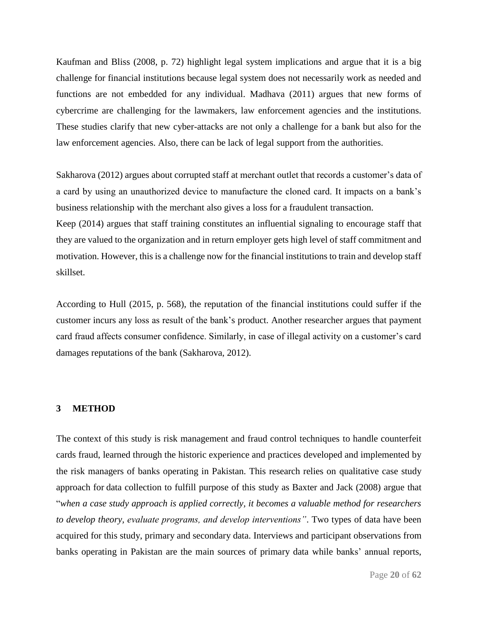Kaufman and Bliss (2008, p. 72) highlight legal system implications and argue that it is a big challenge for financial institutions because legal system does not necessarily work as needed and functions are not embedded for any individual. Madhava (2011) argues that new forms of cybercrime are challenging for the lawmakers, law enforcement agencies and the institutions. These studies clarify that new cyber-attacks are not only a challenge for a bank but also for the law enforcement agencies. Also, there can be lack of legal support from the authorities.

Sakharova (2012) argues about corrupted staff at merchant outlet that records a customer's data of a card by using an unauthorized device to manufacture the cloned card. It impacts on a bank's business relationship with the merchant also gives a loss for a fraudulent transaction.

Keep (2014) argues that staff training constitutes an influential signaling to encourage staff that they are valued to the organization and in return employer gets high level of staff commitment and motivation. However, this is a challenge now for the financial institutions to train and develop staff skillset.

According to Hull (2015, p. 568), the reputation of the financial institutions could suffer if the customer incurs any loss as result of the bank's product. Another researcher argues that payment card fraud affects consumer confidence. Similarly, in case of illegal activity on a customer's card damages reputations of the bank (Sakharova, 2012).

### **3 METHOD**

The context of this study is risk management and fraud control techniques to handle counterfeit cards fraud, learned through the historic experience and practices developed and implemented by the risk managers of banks operating in Pakistan. This research relies on qualitative case study approach for data collection to fulfill purpose of this study as Baxter and Jack (2008) argue that "*when a case study approach is applied correctly, it becomes a valuable method for researchers to develop theory, evaluate programs, and develop interventions"*. Two types of data have been acquired for this study, primary and secondary data. Interviews and participant observations from banks operating in Pakistan are the main sources of primary data while banks' annual reports,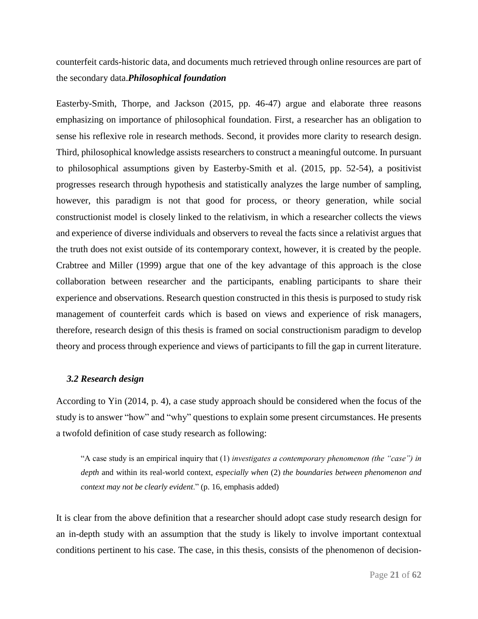counterfeit cards-historic data, and documents much retrieved through online resources are part of the secondary data.*Philosophical foundation*

Easterby-Smith, Thorpe, and Jackson (2015, pp. 46-47) argue and elaborate three reasons emphasizing on importance of philosophical foundation. First, a researcher has an obligation to sense his reflexive role in research methods. Second, it provides more clarity to research design. Third, philosophical knowledge assists researchers to construct a meaningful outcome. In pursuant to philosophical assumptions given by Easterby-Smith et al. (2015, pp. 52-54), a positivist progresses research through hypothesis and statistically analyzes the large number of sampling, however, this paradigm is not that good for process, or theory generation, while social constructionist model is closely linked to the relativism, in which a researcher collects the views and experience of diverse individuals and observers to reveal the facts since a relativist argues that the truth does not exist outside of its contemporary context, however, it is created by the people. Crabtree and Miller (1999) argue that one of the key advantage of this approach is the close collaboration between researcher and the participants, enabling participants to share their experience and observations. Research question constructed in this thesis is purposed to study risk management of counterfeit cards which is based on views and experience of risk managers, therefore, research design of this thesis is framed on social constructionism paradigm to develop theory and process through experience and views of participants to fill the gap in current literature.

### *3.2 Research design*

According to Yin (2014, p. 4), a case study approach should be considered when the focus of the study is to answer "how" and "why" questions to explain some present circumstances. He presents a twofold definition of case study research as following:

"A case study is an empirical inquiry that (1) *investigates a contemporary phenomenon (the "case") in depth* and within its real-world context, *especially when* (2) *the boundaries between phenomenon and context may not be clearly evident*." (p. 16, emphasis added)

It is clear from the above definition that a researcher should adopt case study research design for an in-depth study with an assumption that the study is likely to involve important contextual conditions pertinent to his case. The case, in this thesis, consists of the phenomenon of decision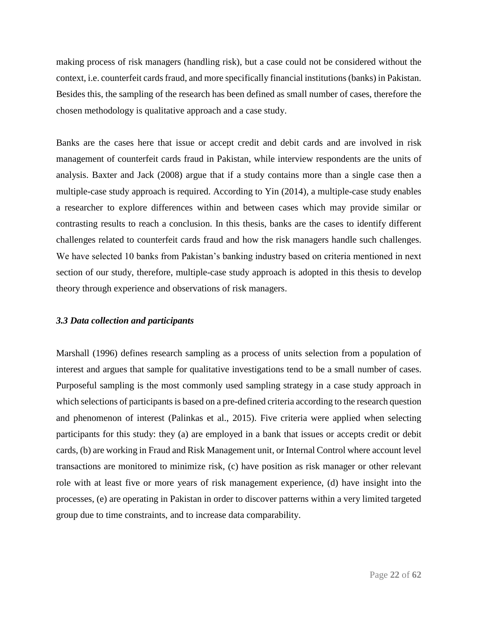making process of risk managers (handling risk), but a case could not be considered without the context, i.e. counterfeit cards fraud, and more specifically financial institutions (banks) in Pakistan. Besides this, the sampling of the research has been defined as small number of cases, therefore the chosen methodology is qualitative approach and a case study.

Banks are the cases here that issue or accept credit and debit cards and are involved in risk management of counterfeit cards fraud in Pakistan, while interview respondents are the units of analysis. Baxter and Jack (2008) argue that if a study contains more than a single case then a multiple-case study approach is required. According to Yin (2014), a multiple-case study enables a researcher to explore differences within and between cases which may provide similar or contrasting results to reach a conclusion. In this thesis, banks are the cases to identify different challenges related to counterfeit cards fraud and how the risk managers handle such challenges. We have selected 10 banks from Pakistan's banking industry based on criteria mentioned in next section of our study, therefore, multiple-case study approach is adopted in this thesis to develop theory through experience and observations of risk managers.

### *3.3 Data collection and participants*

Marshall (1996) defines research sampling as a process of units selection from a population of interest and argues that sample for qualitative investigations tend to be a small number of cases. Purposeful sampling is the most commonly used sampling strategy in a case study approach in which selections of participants is based on a pre-defined criteria according to the research question and phenomenon of interest (Palinkas et al., 2015). Five criteria were applied when selecting participants for this study: they (a) are employed in a bank that issues or accepts credit or debit cards, (b) are working in Fraud and Risk Management unit, or Internal Control where account level transactions are monitored to minimize risk, (c) have position as risk manager or other relevant role with at least five or more years of risk management experience, (d) have insight into the processes, (e) are operating in Pakistan in order to discover patterns within a very limited targeted group due to time constraints, and to increase data comparability.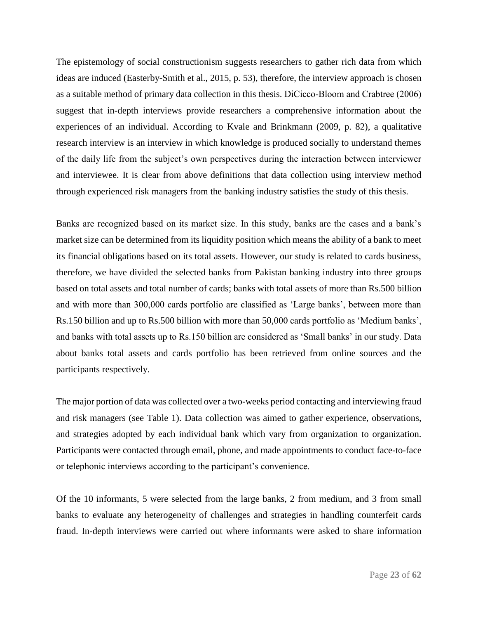The epistemology of social constructionism suggests researchers to gather rich data from which ideas are induced (Easterby-Smith et al., 2015, p. 53), therefore, the interview approach is chosen as a suitable method of primary data collection in this thesis. DiCicco‐Bloom and Crabtree (2006) suggest that in-depth interviews provide researchers a comprehensive information about the experiences of an individual. According to Kvale and Brinkmann (2009, p. 82), a qualitative research interview is an interview in which knowledge is produced socially to understand themes of the daily life from the subject's own perspectives during the interaction between interviewer and interviewee. It is clear from above definitions that data collection using interview method through experienced risk managers from the banking industry satisfies the study of this thesis.

Banks are recognized based on its market size. In this study, banks are the cases and a bank's market size can be determined from its liquidity position which means the ability of a bank to meet its financial obligations based on its total assets. However, our study is related to cards business, therefore, we have divided the selected banks from Pakistan banking industry into three groups based on total assets and total number of cards; banks with total assets of more than Rs.500 billion and with more than 300,000 cards portfolio are classified as 'Large banks', between more than Rs.150 billion and up to Rs.500 billion with more than 50,000 cards portfolio as 'Medium banks', and banks with total assets up to Rs.150 billion are considered as 'Small banks' in our study. Data about banks total assets and cards portfolio has been retrieved from online sources and the participants respectively.

The major portion of data was collected over a two-weeks period contacting and interviewing fraud and risk managers (see Table 1). Data collection was aimed to gather experience, observations, and strategies adopted by each individual bank which vary from organization to organization. Participants were contacted through email, phone, and made appointments to conduct face-to-face or telephonic interviews according to the participant's convenience.

Of the 10 informants, 5 were selected from the large banks, 2 from medium, and 3 from small banks to evaluate any heterogeneity of challenges and strategies in handling counterfeit cards fraud. In-depth interviews were carried out where informants were asked to share information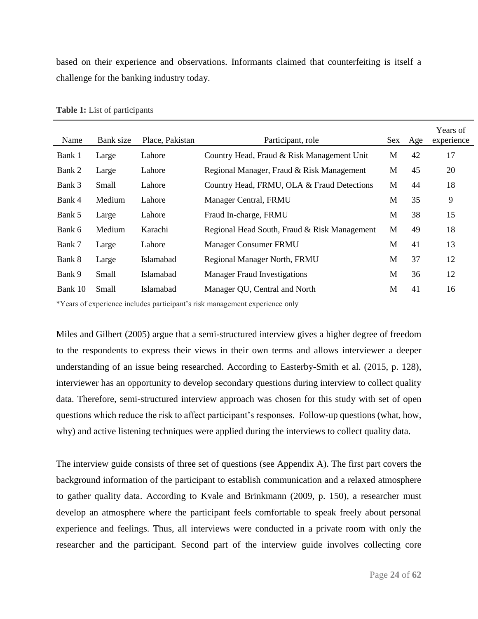based on their experience and observations. Informants claimed that counterfeiting is itself a challenge for the banking industry today.

| Name    | Bank size | Place, Pakistan | Participant, role                            | Sex | Age | Years of<br>experience |
|---------|-----------|-----------------|----------------------------------------------|-----|-----|------------------------|
| Bank 1  | Large     | Lahore          | Country Head, Fraud & Risk Management Unit   | M   | 42  | 17                     |
| Bank 2  | Large     | Lahore          | Regional Manager, Fraud & Risk Management    | M   | 45  | 20                     |
| Bank 3  | Small     | Lahore          | Country Head, FRMU, OLA & Fraud Detections   | M   | 44  | 18                     |
| Bank 4  | Medium    | Lahore          | Manager Central, FRMU                        | M   | 35  | 9                      |
| Bank 5  | Large     | Lahore          | Fraud In-charge, FRMU                        | M   | 38  | 15                     |
| Bank 6  | Medium    | Karachi         | Regional Head South, Fraud & Risk Management | M   | 49  | 18                     |
| Bank 7  | Large     | Lahore          | <b>Manager Consumer FRMU</b>                 | M   | 41  | 13                     |
| Bank 8  | Large     | Islamabad       | <b>Regional Manager North, FRMU</b>          | M   | 37  | 12                     |
| Bank 9  | Small     | Islamabad       | <b>Manager Fraud Investigations</b>          | M   | 36  | 12                     |
| Bank 10 | Small     | Islamabad       | Manager QU, Central and North                | M   | 41  | 16                     |

**Table 1:** List of participants

\*Years of experience includes participant's risk management experience only

Miles and Gilbert (2005) argue that a semi-structured interview gives a higher degree of freedom to the respondents to express their views in their own terms and allows interviewer a deeper understanding of an issue being researched. According to Easterby-Smith et al. (2015, p. 128), interviewer has an opportunity to develop secondary questions during interview to collect quality data. Therefore, semi-structured interview approach was chosen for this study with set of open questions which reduce the risk to affect participant's responses. Follow-up questions (what, how, why) and active listening techniques were applied during the interviews to collect quality data.

The interview guide consists of three set of questions (see Appendix A). The first part covers the background information of the participant to establish communication and a relaxed atmosphere to gather quality data. According to Kvale and Brinkmann (2009, p. 150), a researcher must develop an atmosphere where the participant feels comfortable to speak freely about personal experience and feelings. Thus, all interviews were conducted in a private room with only the researcher and the participant. Second part of the interview guide involves collecting core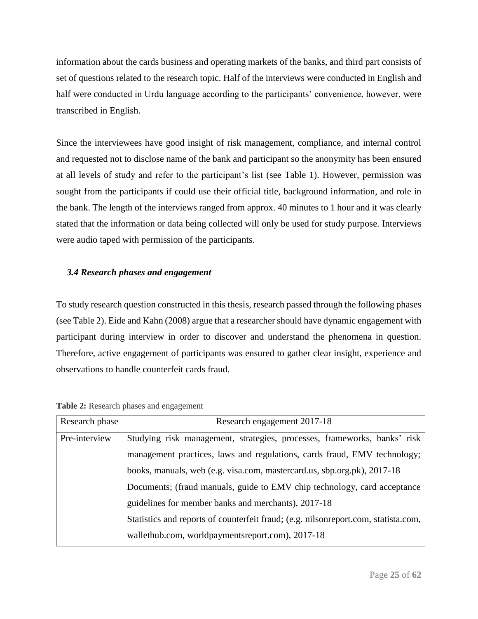information about the cards business and operating markets of the banks, and third part consists of set of questions related to the research topic. Half of the interviews were conducted in English and half were conducted in Urdu language according to the participants' convenience, however, were transcribed in English.

Since the interviewees have good insight of risk management, compliance, and internal control and requested not to disclose name of the bank and participant so the anonymity has been ensured at all levels of study and refer to the participant's list (see Table 1). However, permission was sought from the participants if could use their official title, background information, and role in the bank. The length of the interviews ranged from approx. 40 minutes to 1 hour and it was clearly stated that the information or data being collected will only be used for study purpose. Interviews were audio taped with permission of the participants.

### *3.4 Research phases and engagement*

To study research question constructed in this thesis, research passed through the following phases (see Table 2). Eide and Kahn (2008) argue that a researcher should have dynamic engagement with participant during interview in order to discover and understand the phenomena in question. Therefore, active engagement of participants was ensured to gather clear insight, experience and observations to handle counterfeit cards fraud.

| Research phase | Research engagement 2017-18                                                        |  |
|----------------|------------------------------------------------------------------------------------|--|
| Pre-interview  | Studying risk management, strategies, processes, frameworks, banks' risk           |  |
|                | management practices, laws and regulations, cards fraud, EMV technology;           |  |
|                | books, manuals, web (e.g. visa.com, mastercard.us, sbp.org.pk), 2017-18            |  |
|                | Documents; (fraud manuals, guide to EMV chip technology, card acceptance           |  |
|                | guidelines for member banks and merchants), 2017-18                                |  |
|                | Statistics and reports of counterfeit fraud; (e.g. nilsonreport.com, statista.com, |  |
|                | wallethub.com, worldpaymentsreport.com), 2017-18                                   |  |

**Table 2:** Research phases and engagement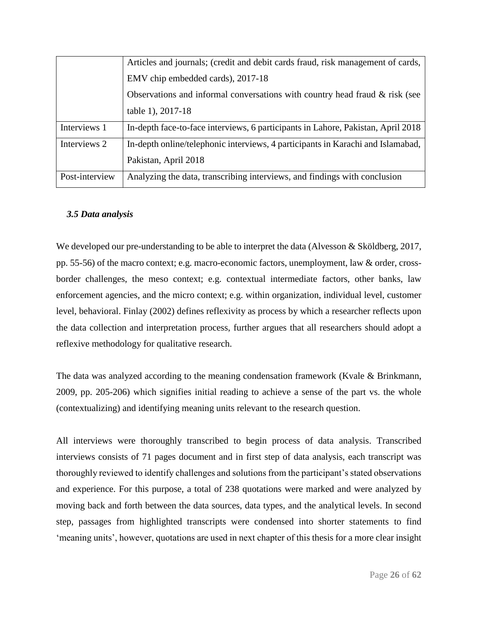|                                   | Articles and journals; (credit and debit cards fraud, risk management of cards,  |
|-----------------------------------|----------------------------------------------------------------------------------|
| EMV chip embedded cards), 2017-18 |                                                                                  |
|                                   | Observations and informal conversations with country head fraud & risk (see      |
|                                   | table 1), 2017-18                                                                |
| Interviews 1                      | In-depth face-to-face interviews, 6 participants in Lahore, Pakistan, April 2018 |
| Interviews 2                      | In-depth online/telephonic interviews, 4 participants in Karachi and Islamabad,  |
|                                   | Pakistan, April 2018                                                             |
| Post-interview                    | Analyzing the data, transcribing interviews, and findings with conclusion        |

### *3.5 Data analysis*

We developed our pre-understanding to be able to interpret the data (Alvesson & Sköldberg, 2017, pp. 55-56) of the macro context; e.g. macro-economic factors, unemployment, law & order, crossborder challenges, the meso context; e.g. contextual intermediate factors, other banks, law enforcement agencies, and the micro context; e.g. within organization, individual level, customer level, behavioral. Finlay (2002) defines reflexivity as process by which a researcher reflects upon the data collection and interpretation process, further argues that all researchers should adopt a reflexive methodology for qualitative research.

The data was analyzed according to the meaning condensation framework (Kvale & Brinkmann, 2009, pp. 205-206) which signifies initial reading to achieve a sense of the part vs. the whole (contextualizing) and identifying meaning units relevant to the research question.

All interviews were thoroughly transcribed to begin process of data analysis. Transcribed interviews consists of 71 pages document and in first step of data analysis, each transcript was thoroughly reviewed to identify challenges and solutions from the participant's stated observations and experience. For this purpose, a total of 238 quotations were marked and were analyzed by moving back and forth between the data sources, data types, and the analytical levels. In second step, passages from highlighted transcripts were condensed into shorter statements to find 'meaning units', however, quotations are used in next chapter of this thesis for a more clear insight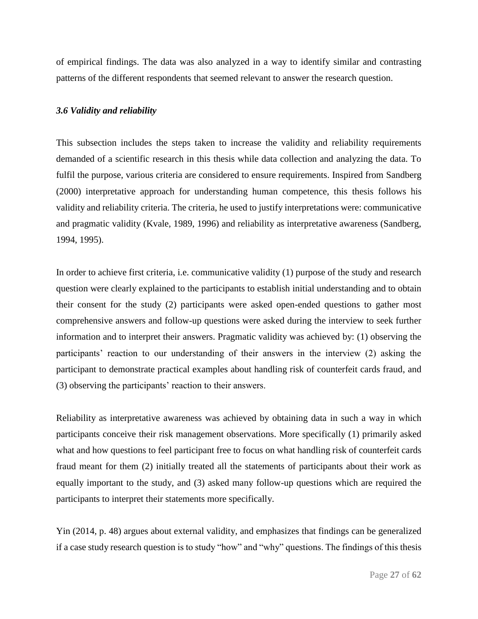of empirical findings. The data was also analyzed in a way to identify similar and contrasting patterns of the different respondents that seemed relevant to answer the research question.

### *3.6 Validity and reliability*

This subsection includes the steps taken to increase the validity and reliability requirements demanded of a scientific research in this thesis while data collection and analyzing the data. To fulfil the purpose, various criteria are considered to ensure requirements. Inspired from Sandberg (2000) interpretative approach for understanding human competence, this thesis follows his validity and reliability criteria. The criteria, he used to justify interpretations were: communicative and pragmatic validity (Kvale, 1989, 1996) and reliability as interpretative awareness (Sandberg, 1994, 1995).

In order to achieve first criteria, i.e. communicative validity (1) purpose of the study and research question were clearly explained to the participants to establish initial understanding and to obtain their consent for the study (2) participants were asked open-ended questions to gather most comprehensive answers and follow-up questions were asked during the interview to seek further information and to interpret their answers. Pragmatic validity was achieved by: (1) observing the participants' reaction to our understanding of their answers in the interview (2) asking the participant to demonstrate practical examples about handling risk of counterfeit cards fraud, and (3) observing the participants' reaction to their answers.

Reliability as interpretative awareness was achieved by obtaining data in such a way in which participants conceive their risk management observations. More specifically (1) primarily asked what and how questions to feel participant free to focus on what handling risk of counterfeit cards fraud meant for them (2) initially treated all the statements of participants about their work as equally important to the study, and (3) asked many follow-up questions which are required the participants to interpret their statements more specifically.

Yin (2014, p. 48) argues about external validity, and emphasizes that findings can be generalized if a case study research question is to study "how" and "why" questions. The findings of this thesis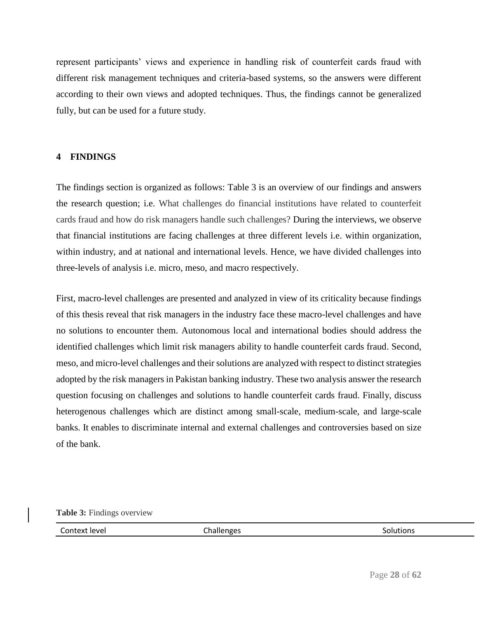represent participants' views and experience in handling risk of counterfeit cards fraud with different risk management techniques and criteria-based systems, so the answers were different according to their own views and adopted techniques. Thus, the findings cannot be generalized fully, but can be used for a future study.

### **4 FINDINGS**

The findings section is organized as follows: Table 3 is an overview of our findings and answers the research question; i.e. What challenges do financial institutions have related to counterfeit cards fraud and how do risk managers handle such challenges? During the interviews, we observe that financial institutions are facing challenges at three different levels i.e. within organization, within industry, and at national and international levels. Hence, we have divided challenges into three-levels of analysis i.e. micro, meso, and macro respectively.

First, macro-level challenges are presented and analyzed in view of its criticality because findings of this thesis reveal that risk managers in the industry face these macro-level challenges and have no solutions to encounter them. Autonomous local and international bodies should address the identified challenges which limit risk managers ability to handle counterfeit cards fraud. Second, meso, and micro-level challenges and their solutions are analyzed with respect to distinct strategies adopted by the risk managers in Pakistan banking industry. These two analysis answer the research question focusing on challenges and solutions to handle counterfeit cards fraud. Finally, discuss heterogenous challenges which are distinct among small-scale, medium-scale, and large-scale banks. It enables to discriminate internal and external challenges and controversies based on size of the bank.

### **Table 3:** Findings overview

Context level and the Challenges Challenges Context level solutions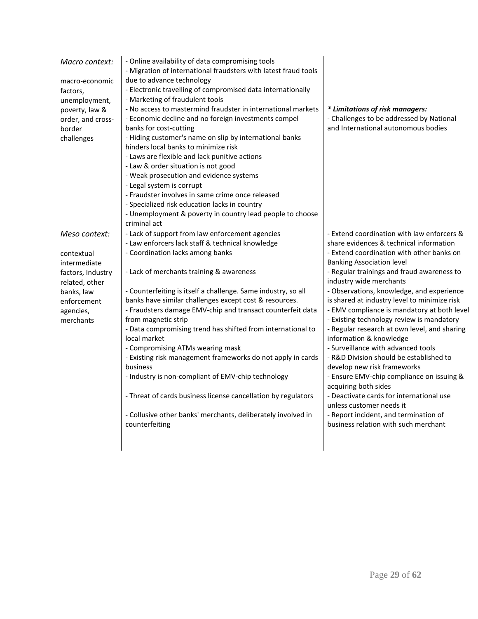| - Laws are flexible and lack punitive actions<br>- Law & order situation is not good<br>- Weak prosecution and evidence systems<br>- Legal system is corrupt<br>- Fraudster involves in same crime once released<br>- Specialized risk education lacks in country<br>- Unemployment & poverty in country lead people to choose<br>criminal act                                                                                                                                                                                                                                                                                                                                                                                                                                                                                                                                                                                                                                                                                                                                                                                                                                                                                                              |                                                                                                                                                                                                                                                                                                                                                                                                                                                                                                                                                               |
|-------------------------------------------------------------------------------------------------------------------------------------------------------------------------------------------------------------------------------------------------------------------------------------------------------------------------------------------------------------------------------------------------------------------------------------------------------------------------------------------------------------------------------------------------------------------------------------------------------------------------------------------------------------------------------------------------------------------------------------------------------------------------------------------------------------------------------------------------------------------------------------------------------------------------------------------------------------------------------------------------------------------------------------------------------------------------------------------------------------------------------------------------------------------------------------------------------------------------------------------------------------|---------------------------------------------------------------------------------------------------------------------------------------------------------------------------------------------------------------------------------------------------------------------------------------------------------------------------------------------------------------------------------------------------------------------------------------------------------------------------------------------------------------------------------------------------------------|
| - Lack of support from law enforcement agencies<br>Meso context:<br>- Law enforcers lack staff & technical knowledge<br>- Coordination lacks among banks<br>contextual<br><b>Banking Association level</b><br>intermediate<br>- Lack of merchants training & awareness<br>factors, Industry<br>industry wide merchants<br>related, other<br>- Counterfeiting is itself a challenge. Same industry, so all<br>banks, law<br>banks have similar challenges except cost & resources.<br>enforcement<br>- Fraudsters damage EMV-chip and transact counterfeit data<br>agencies,<br>from magnetic strip<br>merchants<br>- Data compromising trend has shifted from international to<br>local market<br>information & knowledge<br>- Compromising ATMs wearing mask<br>- Surveillance with advanced tools<br>- Existing risk management frameworks do not apply in cards<br>business<br>develop new risk frameworks<br>- Industry is non-compliant of EMV-chip technology<br>acquiring both sides<br>- Threat of cards business license cancellation by regulators<br>unless customer needs it<br>- Collusive other banks' merchants, deliberately involved in<br>- Report incident, and termination of<br>business relation with such merchant<br>counterfeiting | - Extend coordination with law enforcers &<br>share evidences & technical information<br>- Extend coordination with other banks on<br>- Regular trainings and fraud awareness to<br>- Observations, knowledge, and experience<br>is shared at industry level to minimize risk<br>- EMV compliance is mandatory at both level<br>- Existing technology review is mandatory<br>- Regular research at own level, and sharing<br>- R&D Division should be established to<br>- Ensure EMV-chip compliance on issuing &<br>- Deactivate cards for international use |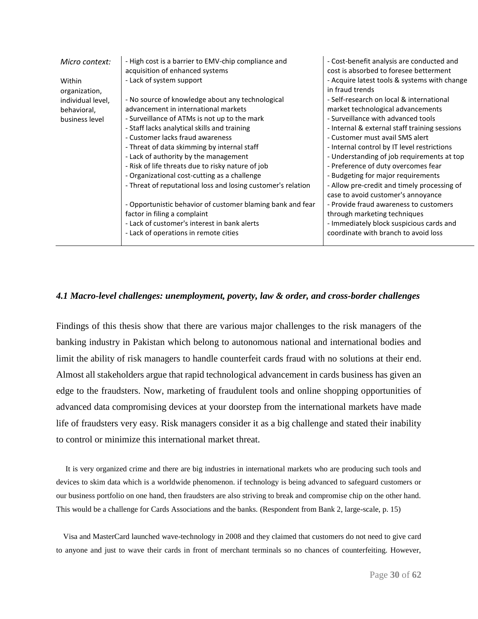| Micro context:          | - High cost is a barrier to EMV-chip compliance and<br>acquisition of enhanced systems | - Cost-benefit analysis are conducted and<br>cost is absorbed to foresee betterment |
|-------------------------|----------------------------------------------------------------------------------------|-------------------------------------------------------------------------------------|
| Within<br>organization, | - Lack of system support                                                               | - Acquire latest tools & systems with change<br>in fraud trends                     |
| individual level,       | - No source of knowledge about any technological                                       | - Self-research on local & international                                            |
| behavioral,             | advancement in international markets                                                   | market technological advancements                                                   |
| business level          | - Surveillance of ATMs is not up to the mark                                           | - Surveillance with advanced tools                                                  |
|                         | - Staff lacks analytical skills and training                                           | - Internal & external staff training sessions                                       |
|                         | - Customer lacks fraud awareness                                                       | - Customer must avail SMS alert                                                     |
|                         | - Threat of data skimming by internal staff                                            | - Internal control by IT level restrictions                                         |
|                         | - Lack of authority by the management                                                  | - Understanding of job requirements at top                                          |
|                         | - Risk of life threats due to risky nature of job                                      | - Preference of duty overcomes fear                                                 |
|                         | - Organizational cost-cutting as a challenge                                           | - Budgeting for major requirements                                                  |
|                         | - Threat of reputational loss and losing customer's relation                           | - Allow pre-credit and timely processing of<br>case to avoid customer's annoyance   |
|                         | - Opportunistic behavior of customer blaming bank and fear                             | - Provide fraud awareness to customers                                              |
|                         | factor in filing a complaint                                                           | through marketing techniques                                                        |
|                         | - Lack of customer's interest in bank alerts                                           | - Immediately block suspicious cards and                                            |
|                         | - Lack of operations in remote cities                                                  | coordinate with branch to avoid loss                                                |
|                         |                                                                                        |                                                                                     |

### *4.1 Macro-level challenges: unemployment, poverty, law & order, and cross-border challenges*

Findings of this thesis show that there are various major challenges to the risk managers of the banking industry in Pakistan which belong to autonomous national and international bodies and limit the ability of risk managers to handle counterfeit cards fraud with no solutions at their end. Almost all stakeholders argue that rapid technological advancement in cards business has given an edge to the fraudsters. Now, marketing of fraudulent tools and online shopping opportunities of advanced data compromising devices at your doorstep from the international markets have made life of fraudsters very easy. Risk managers consider it as a big challenge and stated their inability to control or minimize this international market threat.

 It is very organized crime and there are big industries in international markets who are producing such tools and devices to skim data which is a worldwide phenomenon. if technology is being advanced to safeguard customers or our business portfolio on one hand, then fraudsters are also striving to break and compromise chip on the other hand. This would be a challenge for Cards Associations and the banks. (Respondent from Bank 2, large-scale, p. 15)

 Visa and MasterCard launched wave-technology in 2008 and they claimed that customers do not need to give card to anyone and just to wave their cards in front of merchant terminals so no chances of counterfeiting. However,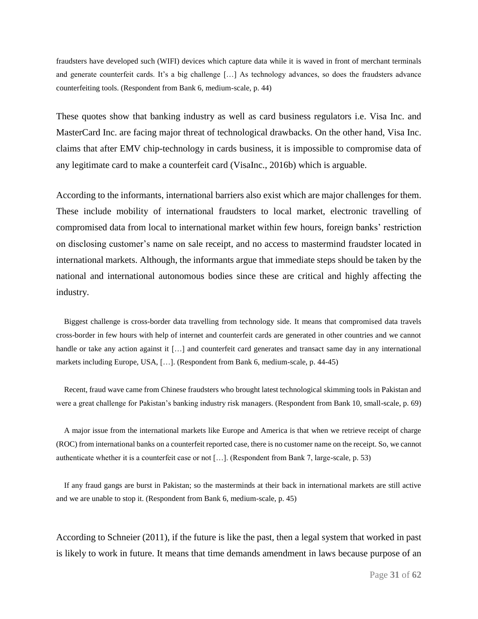fraudsters have developed such (WIFI) devices which capture data while it is waved in front of merchant terminals and generate counterfeit cards. It's a big challenge […] As technology advances, so does the fraudsters advance counterfeiting tools. (Respondent from Bank 6, medium-scale, p. 44)

These quotes show that banking industry as well as card business regulators i.e. Visa Inc. and MasterCard Inc. are facing major threat of technological drawbacks. On the other hand, Visa Inc. claims that after EMV chip-technology in cards business, it is impossible to compromise data of any legitimate card to make a counterfeit card (VisaInc., 2016b) which is arguable.

According to the informants, international barriers also exist which are major challenges for them. These include mobility of international fraudsters to local market, electronic travelling of compromised data from local to international market within few hours, foreign banks' restriction on disclosing customer's name on sale receipt, and no access to mastermind fraudster located in international markets. Although, the informants argue that immediate steps should be taken by the national and international autonomous bodies since these are critical and highly affecting the industry.

 Biggest challenge is cross-border data travelling from technology side. It means that compromised data travels cross-border in few hours with help of internet and counterfeit cards are generated in other countries and we cannot handle or take any action against it [...] and counterfeit card generates and transact same day in any international markets including Europe, USA, […]. (Respondent from Bank 6, medium-scale, p. 44-45)

 Recent, fraud wave came from Chinese fraudsters who brought latest technological skimming tools in Pakistan and were a great challenge for Pakistan's banking industry risk managers. (Respondent from Bank 10, small-scale, p. 69)

 A major issue from the international markets like Europe and America is that when we retrieve receipt of charge (ROC) from international banks on a counterfeit reported case, there is no customer name on the receipt. So, we cannot authenticate whether it is a counterfeit case or not […]. (Respondent from Bank 7, large-scale, p. 53)

 If any fraud gangs are burst in Pakistan; so the masterminds at their back in international markets are still active and we are unable to stop it. (Respondent from Bank 6, medium-scale, p. 45)

According to Schneier (2011), if the future is like the past, then a legal system that worked in past is likely to work in future. It means that time demands amendment in laws because purpose of an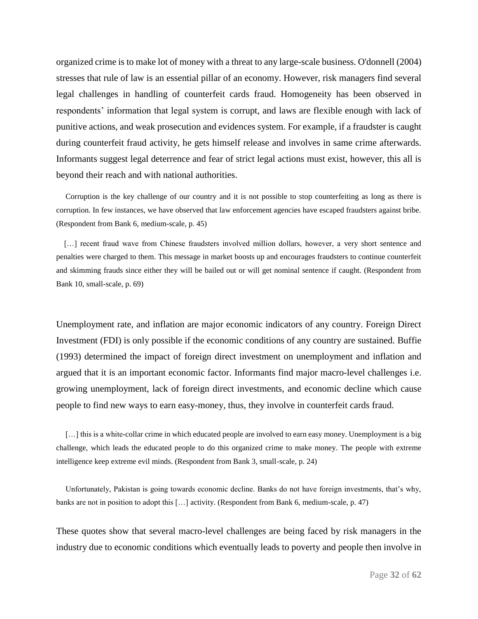organized crime is to make lot of money with a threat to any large-scale business. O'donnell (2004) stresses that rule of law is an essential pillar of an economy. However, risk managers find several legal challenges in handling of counterfeit cards fraud. Homogeneity has been observed in respondents' information that legal system is corrupt, and laws are flexible enough with lack of punitive actions, and weak prosecution and evidences system. For example, if a fraudster is caught during counterfeit fraud activity, he gets himself release and involves in same crime afterwards. Informants suggest legal deterrence and fear of strict legal actions must exist, however, this all is beyond their reach and with national authorities.

 Corruption is the key challenge of our country and it is not possible to stop counterfeiting as long as there is corruption. In few instances, we have observed that law enforcement agencies have escaped fraudsters against bribe. (Respondent from Bank 6, medium-scale, p. 45)

[...] recent fraud wave from Chinese fraudsters involved million dollars, however, a very short sentence and penalties were charged to them. This message in market boosts up and encourages fraudsters to continue counterfeit and skimming frauds since either they will be bailed out or will get nominal sentence if caught. (Respondent from Bank 10, small-scale, p. 69)

Unemployment rate, and inflation are major economic indicators of any country. Foreign Direct Investment (FDI) is only possible if the economic conditions of any country are sustained. Buffie (1993) determined the impact of foreign direct investment on unemployment and inflation and argued that it is an important economic factor. Informants find major macro-level challenges i.e. growing unemployment, lack of foreign direct investments, and economic decline which cause people to find new ways to earn easy-money, thus, they involve in counterfeit cards fraud.

[...] this is a white-collar crime in which educated people are involved to earn easy money. Unemployment is a big challenge, which leads the educated people to do this organized crime to make money. The people with extreme intelligence keep extreme evil minds. (Respondent from Bank 3, small-scale, p. 24)

 Unfortunately, Pakistan is going towards economic decline. Banks do not have foreign investments, that's why, banks are not in position to adopt this […] activity. (Respondent from Bank 6, medium-scale, p. 47)

These quotes show that several macro-level challenges are being faced by risk managers in the industry due to economic conditions which eventually leads to poverty and people then involve in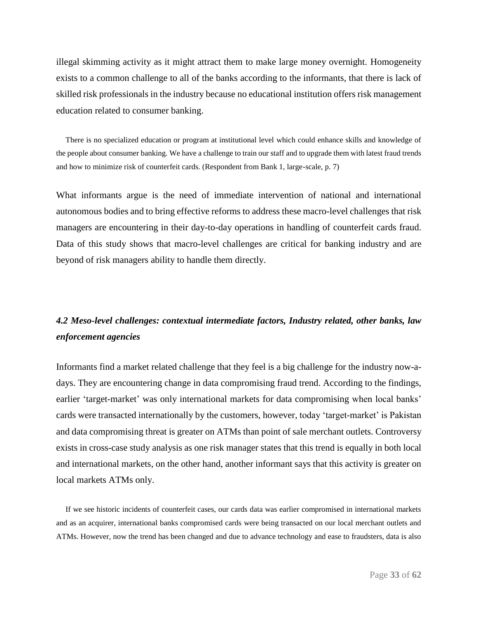illegal skimming activity as it might attract them to make large money overnight. Homogeneity exists to a common challenge to all of the banks according to the informants, that there is lack of skilled risk professionals in the industry because no educational institution offers risk management education related to consumer banking.

 There is no specialized education or program at institutional level which could enhance skills and knowledge of the people about consumer banking. We have a challenge to train our staff and to upgrade them with latest fraud trends and how to minimize risk of counterfeit cards. (Respondent from Bank 1, large-scale, p. 7)

What informants argue is the need of immediate intervention of national and international autonomous bodies and to bring effective reforms to address these macro-level challenges that risk managers are encountering in their day-to-day operations in handling of counterfeit cards fraud. Data of this study shows that macro-level challenges are critical for banking industry and are beyond of risk managers ability to handle them directly.

### *4.2 Meso-level challenges: contextual intermediate factors, Industry related, other banks, law enforcement agencies*

Informants find a market related challenge that they feel is a big challenge for the industry now-adays. They are encountering change in data compromising fraud trend. According to the findings, earlier 'target-market' was only international markets for data compromising when local banks' cards were transacted internationally by the customers, however, today 'target-market' is Pakistan and data compromising threat is greater on ATMs than point of sale merchant outlets. Controversy exists in cross-case study analysis as one risk manager states that this trend is equally in both local and international markets, on the other hand, another informant says that this activity is greater on local markets ATMs only.

 If we see historic incidents of counterfeit cases, our cards data was earlier compromised in international markets and as an acquirer, international banks compromised cards were being transacted on our local merchant outlets and ATMs. However, now the trend has been changed and due to advance technology and ease to fraudsters, data is also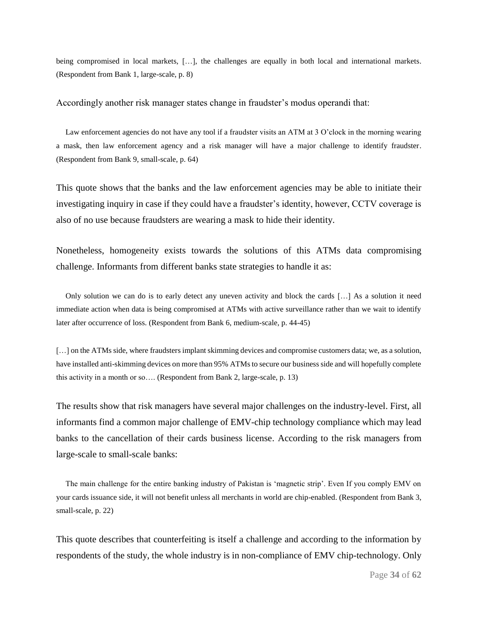being compromised in local markets, […], the challenges are equally in both local and international markets. (Respondent from Bank 1, large-scale, p. 8)

Accordingly another risk manager states change in fraudster's modus operandi that:

 Law enforcement agencies do not have any tool if a fraudster visits an ATM at 3 O'clock in the morning wearing a mask, then law enforcement agency and a risk manager will have a major challenge to identify fraudster. (Respondent from Bank 9, small-scale, p. 64)

This quote shows that the banks and the law enforcement agencies may be able to initiate their investigating inquiry in case if they could have a fraudster's identity, however, CCTV coverage is also of no use because fraudsters are wearing a mask to hide their identity.

Nonetheless, homogeneity exists towards the solutions of this ATMs data compromising challenge. Informants from different banks state strategies to handle it as:

 Only solution we can do is to early detect any uneven activity and block the cards […] As a solution it need immediate action when data is being compromised at ATMs with active surveillance rather than we wait to identify later after occurrence of loss. (Respondent from Bank 6, medium-scale, p. 44-45)

[...] on the ATMs side, where fraudsters implant skimming devices and compromise customers data; we, as a solution, have installed anti-skimming devices on more than 95% ATMs to secure our business side and will hopefully complete this activity in a month or so…. (Respondent from Bank 2, large-scale, p. 13)

The results show that risk managers have several major challenges on the industry-level. First, all informants find a common major challenge of EMV-chip technology compliance which may lead banks to the cancellation of their cards business license. According to the risk managers from large-scale to small-scale banks:

 The main challenge for the entire banking industry of Pakistan is 'magnetic strip'. Even If you comply EMV on your cards issuance side, it will not benefit unless all merchants in world are chip-enabled. (Respondent from Bank 3, small-scale, p. 22)

This quote describes that counterfeiting is itself a challenge and according to the information by respondents of the study, the whole industry is in non-compliance of EMV chip-technology. Only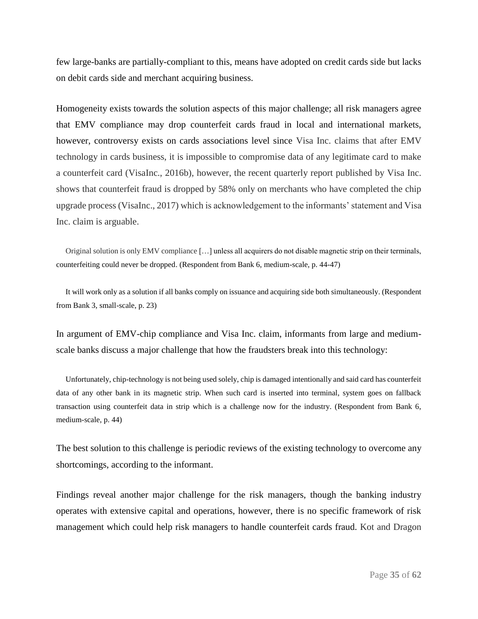few large-banks are partially-compliant to this, means have adopted on credit cards side but lacks on debit cards side and merchant acquiring business.

Homogeneity exists towards the solution aspects of this major challenge; all risk managers agree that EMV compliance may drop counterfeit cards fraud in local and international markets, however, controversy exists on cards associations level since Visa Inc. claims that after EMV technology in cards business, it is impossible to compromise data of any legitimate card to make a counterfeit card (VisaInc., 2016b), however, the recent quarterly report published by Visa Inc. shows that counterfeit fraud is dropped by 58% only on merchants who have completed the chip upgrade process (VisaInc., 2017) which is acknowledgement to the informants' statement and Visa Inc. claim is arguable.

 Original solution is only EMV compliance […] unless all acquirers do not disable magnetic strip on their terminals, counterfeiting could never be dropped. (Respondent from Bank 6, medium-scale, p. 44-47)

 It will work only as a solution if all banks comply on issuance and acquiring side both simultaneously. (Respondent from Bank 3, small-scale, p. 23)

In argument of EMV-chip compliance and Visa Inc. claim, informants from large and mediumscale banks discuss a major challenge that how the fraudsters break into this technology:

 Unfortunately, chip-technology is not being used solely, chip is damaged intentionally and said card has counterfeit data of any other bank in its magnetic strip. When such card is inserted into terminal, system goes on fallback transaction using counterfeit data in strip which is a challenge now for the industry. (Respondent from Bank 6, medium-scale, p. 44)

The best solution to this challenge is periodic reviews of the existing technology to overcome any shortcomings, according to the informant.

Findings reveal another major challenge for the risk managers, though the banking industry operates with extensive capital and operations, however, there is no specific framework of risk management which could help risk managers to handle counterfeit cards fraud. Kot and Dragon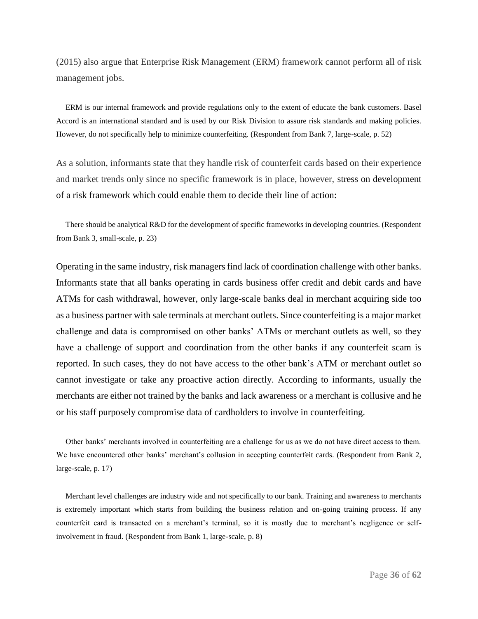(2015) also argue that Enterprise Risk Management (ERM) framework cannot perform all of risk management jobs.

 ERM is our internal framework and provide regulations only to the extent of educate the bank customers. Basel Accord is an international standard and is used by our Risk Division to assure risk standards and making policies. However, do not specifically help to minimize counterfeiting. (Respondent from Bank 7, large-scale, p. 52)

As a solution, informants state that they handle risk of counterfeit cards based on their experience and market trends only since no specific framework is in place, however, stress on development of a risk framework which could enable them to decide their line of action:

 There should be analytical R&D for the development of specific frameworks in developing countries. (Respondent from Bank 3, small-scale, p. 23)

Operating in the same industry, risk managers find lack of coordination challenge with other banks. Informants state that all banks operating in cards business offer credit and debit cards and have ATMs for cash withdrawal, however, only large-scale banks deal in merchant acquiring side too as a business partner with sale terminals at merchant outlets. Since counterfeiting is a major market challenge and data is compromised on other banks' ATMs or merchant outlets as well, so they have a challenge of support and coordination from the other banks if any counterfeit scam is reported. In such cases, they do not have access to the other bank's ATM or merchant outlet so cannot investigate or take any proactive action directly. According to informants, usually the merchants are either not trained by the banks and lack awareness or a merchant is collusive and he or his staff purposely compromise data of cardholders to involve in counterfeiting.

 Other banks' merchants involved in counterfeiting are a challenge for us as we do not have direct access to them. We have encountered other banks' merchant's collusion in accepting counterfeit cards. (Respondent from Bank 2, large-scale, p. 17)

 Merchant level challenges are industry wide and not specifically to our bank. Training and awareness to merchants is extremely important which starts from building the business relation and on-going training process. If any counterfeit card is transacted on a merchant's terminal, so it is mostly due to merchant's negligence or selfinvolvement in fraud. (Respondent from Bank 1, large-scale, p. 8)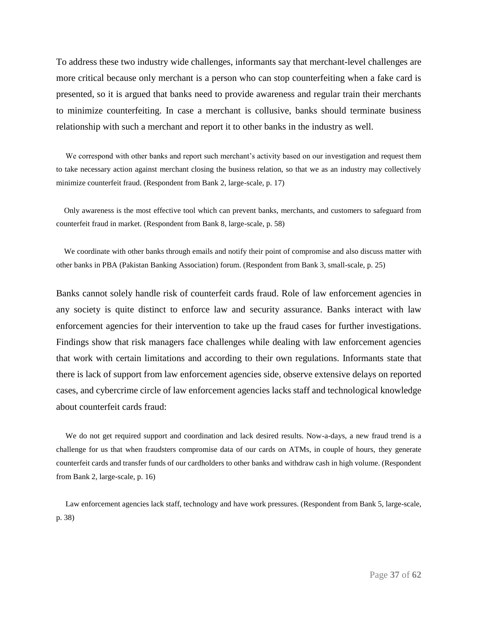To address these two industry wide challenges, informants say that merchant-level challenges are more critical because only merchant is a person who can stop counterfeiting when a fake card is presented, so it is argued that banks need to provide awareness and regular train their merchants to minimize counterfeiting. In case a merchant is collusive, banks should terminate business relationship with such a merchant and report it to other banks in the industry as well.

 We correspond with other banks and report such merchant's activity based on our investigation and request them to take necessary action against merchant closing the business relation, so that we as an industry may collectively minimize counterfeit fraud. (Respondent from Bank 2, large-scale, p. 17)

 Only awareness is the most effective tool which can prevent banks, merchants, and customers to safeguard from counterfeit fraud in market. (Respondent from Bank 8, large-scale, p. 58)

 We coordinate with other banks through emails and notify their point of compromise and also discuss matter with other banks in PBA (Pakistan Banking Association) forum. (Respondent from Bank 3, small-scale, p. 25)

Banks cannot solely handle risk of counterfeit cards fraud. Role of law enforcement agencies in any society is quite distinct to enforce law and security assurance. Banks interact with law enforcement agencies for their intervention to take up the fraud cases for further investigations. Findings show that risk managers face challenges while dealing with law enforcement agencies that work with certain limitations and according to their own regulations. Informants state that there is lack of support from law enforcement agencies side, observe extensive delays on reported cases, and cybercrime circle of law enforcement agencies lacks staff and technological knowledge about counterfeit cards fraud:

 We do not get required support and coordination and lack desired results. Now-a-days, a new fraud trend is a challenge for us that when fraudsters compromise data of our cards on ATMs, in couple of hours, they generate counterfeit cards and transfer funds of our cardholders to other banks and withdraw cash in high volume. (Respondent from Bank 2, large-scale, p. 16)

 Law enforcement agencies lack staff, technology and have work pressures. (Respondent from Bank 5, large-scale, p. 38)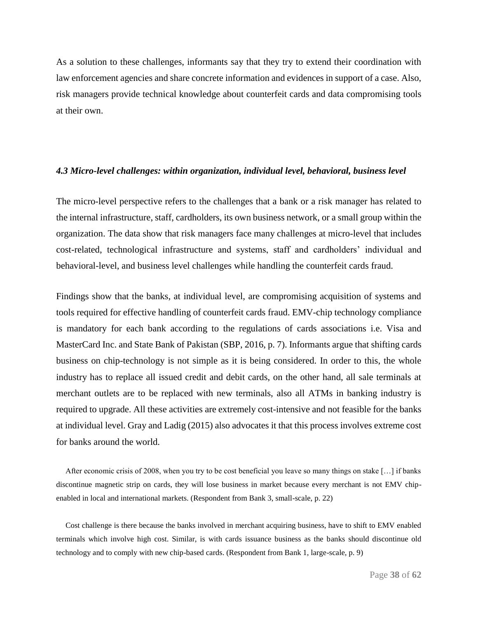As a solution to these challenges, informants say that they try to extend their coordination with law enforcement agencies and share concrete information and evidences in support of a case. Also, risk managers provide technical knowledge about counterfeit cards and data compromising tools at their own.

### *4.3 Micro-level challenges: within organization, individual level, behavioral, business level*

The micro-level perspective refers to the challenges that a bank or a risk manager has related to the internal infrastructure, staff, cardholders, its own business network, or a small group within the organization. The data show that risk managers face many challenges at micro-level that includes cost-related, technological infrastructure and systems, staff and cardholders' individual and behavioral-level, and business level challenges while handling the counterfeit cards fraud.

Findings show that the banks, at individual level, are compromising acquisition of systems and tools required for effective handling of counterfeit cards fraud. EMV-chip technology compliance is mandatory for each bank according to the regulations of cards associations i.e. Visa and MasterCard Inc. and State Bank of Pakistan (SBP, 2016, p. 7). Informants argue that shifting cards business on chip-technology is not simple as it is being considered. In order to this, the whole industry has to replace all issued credit and debit cards, on the other hand, all sale terminals at merchant outlets are to be replaced with new terminals, also all ATMs in banking industry is required to upgrade. All these activities are extremely cost-intensive and not feasible for the banks at individual level. Gray and Ladig (2015) also advocates it that this process involves extreme cost for banks around the world.

 After economic crisis of 2008, when you try to be cost beneficial you leave so many things on stake […] if banks discontinue magnetic strip on cards, they will lose business in market because every merchant is not EMV chipenabled in local and international markets. (Respondent from Bank 3, small-scale, p. 22)

 Cost challenge is there because the banks involved in merchant acquiring business, have to shift to EMV enabled terminals which involve high cost. Similar, is with cards issuance business as the banks should discontinue old technology and to comply with new chip-based cards. (Respondent from Bank 1, large-scale, p. 9)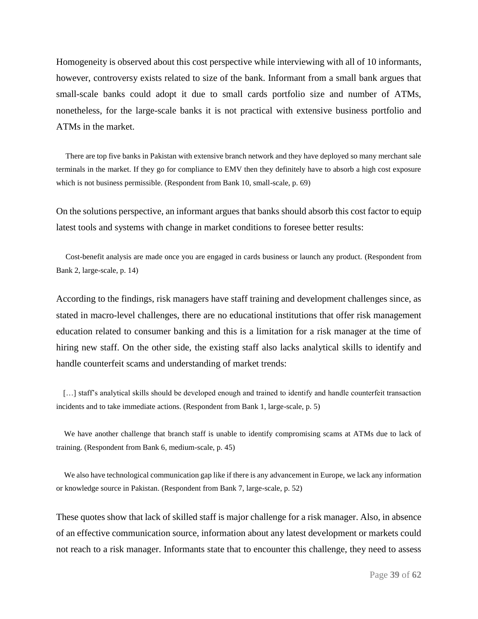Homogeneity is observed about this cost perspective while interviewing with all of 10 informants, however, controversy exists related to size of the bank. Informant from a small bank argues that small-scale banks could adopt it due to small cards portfolio size and number of ATMs, nonetheless, for the large-scale banks it is not practical with extensive business portfolio and ATMs in the market.

 There are top five banks in Pakistan with extensive branch network and they have deployed so many merchant sale terminals in the market. If they go for compliance to EMV then they definitely have to absorb a high cost exposure which is not business permissible. (Respondent from Bank 10, small-scale, p. 69)

On the solutions perspective, an informant argues that banks should absorb this cost factor to equip latest tools and systems with change in market conditions to foresee better results:

 Cost-benefit analysis are made once you are engaged in cards business or launch any product. (Respondent from Bank 2, large-scale, p. 14)

According to the findings, risk managers have staff training and development challenges since, as stated in macro-level challenges, there are no educational institutions that offer risk management education related to consumer banking and this is a limitation for a risk manager at the time of hiring new staff. On the other side, the existing staff also lacks analytical skills to identify and handle counterfeit scams and understanding of market trends:

[...] staff's analytical skills should be developed enough and trained to identify and handle counterfeit transaction incidents and to take immediate actions. (Respondent from Bank 1, large-scale, p. 5)

 We have another challenge that branch staff is unable to identify compromising scams at ATMs due to lack of training. (Respondent from Bank 6, medium-scale, p. 45)

We also have technological communication gap like if there is any advancement in Europe, we lack any information or knowledge source in Pakistan. (Respondent from Bank 7, large-scale, p. 52)

These quotes show that lack of skilled staff is major challenge for a risk manager. Also, in absence of an effective communication source, information about any latest development or markets could not reach to a risk manager. Informants state that to encounter this challenge, they need to assess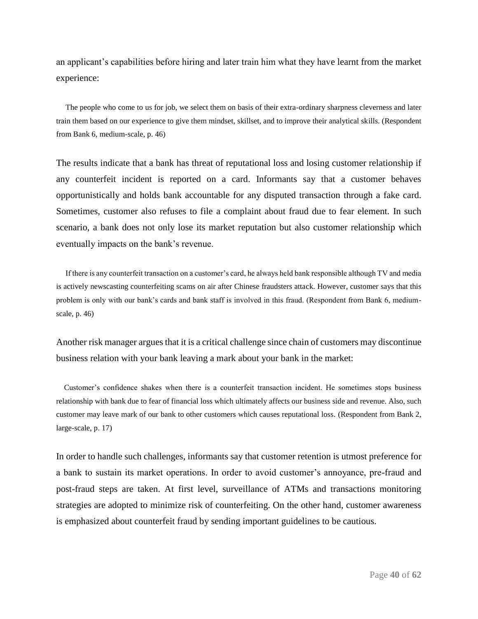an applicant's capabilities before hiring and later train him what they have learnt from the market experience:

 The people who come to us for job, we select them on basis of their extra-ordinary sharpness cleverness and later train them based on our experience to give them mindset, skillset, and to improve their analytical skills. (Respondent from Bank 6, medium-scale, p. 46)

The results indicate that a bank has threat of reputational loss and losing customer relationship if any counterfeit incident is reported on a card. Informants say that a customer behaves opportunistically and holds bank accountable for any disputed transaction through a fake card. Sometimes, customer also refuses to file a complaint about fraud due to fear element. In such scenario, a bank does not only lose its market reputation but also customer relationship which eventually impacts on the bank's revenue.

 If there is any counterfeit transaction on a customer's card, he always held bank responsible although TV and media is actively newscasting counterfeiting scams on air after Chinese fraudsters attack. However, customer says that this problem is only with our bank's cards and bank staff is involved in this fraud. (Respondent from Bank 6, mediumscale, p. 46)

Another risk manager argues that it is a critical challenge since chain of customers may discontinue business relation with your bank leaving a mark about your bank in the market:

 Customer's confidence shakes when there is a counterfeit transaction incident. He sometimes stops business relationship with bank due to fear of financial loss which ultimately affects our business side and revenue. Also, such customer may leave mark of our bank to other customers which causes reputational loss. (Respondent from Bank 2, large-scale, p. 17)

In order to handle such challenges, informants say that customer retention is utmost preference for a bank to sustain its market operations. In order to avoid customer's annoyance, pre-fraud and post-fraud steps are taken. At first level, surveillance of ATMs and transactions monitoring strategies are adopted to minimize risk of counterfeiting. On the other hand, customer awareness is emphasized about counterfeit fraud by sending important guidelines to be cautious.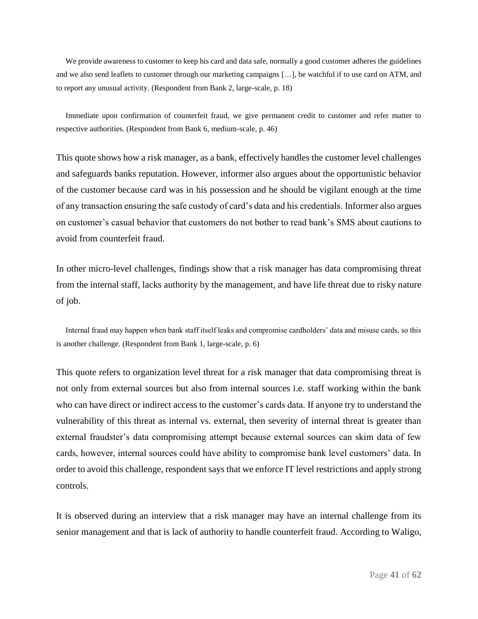We provide awareness to customer to keep his card and data safe, normally a good customer adheres the guidelines and we also send leaflets to customer through our marketing campaigns […], be watchful if to use card on ATM, and to report any unusual activity. (Respondent from Bank 2, large-scale, p. 18)

 Immediate upon confirmation of counterfeit fraud, we give permanent credit to customer and refer matter to respective authorities. (Respondent from Bank 6, medium-scale, p. 46)

This quote shows how a risk manager, as a bank, effectively handles the customer level challenges and safeguards banks reputation. However, informer also argues about the opportunistic behavior of the customer because card was in his possession and he should be vigilant enough at the time of any transaction ensuring the safe custody of card's data and his credentials. Informer also argues on customer's casual behavior that customers do not bother to read bank's SMS about cautions to avoid from counterfeit fraud.

In other micro-level challenges, findings show that a risk manager has data compromising threat from the internal staff, lacks authority by the management, and have life threat due to risky nature of job.

 Internal fraud may happen when bank staff itself leaks and compromise cardholders' data and misuse cards, so this is another challenge. (Respondent from Bank 1, large-scale, p. 6)

This quote refers to organization level threat for a risk manager that data compromising threat is not only from external sources but also from internal sources i.e. staff working within the bank who can have direct or indirect access to the customer's cards data. If anyone try to understand the vulnerability of this threat as internal vs. external, then severity of internal threat is greater than external fraudster's data compromising attempt because external sources can skim data of few cards, however, internal sources could have ability to compromise bank level customers' data. In order to avoid this challenge, respondent says that we enforce IT level restrictions and apply strong controls.

It is observed during an interview that a risk manager may have an internal challenge from its senior management and that is lack of authority to handle counterfeit fraud. According to Waligo,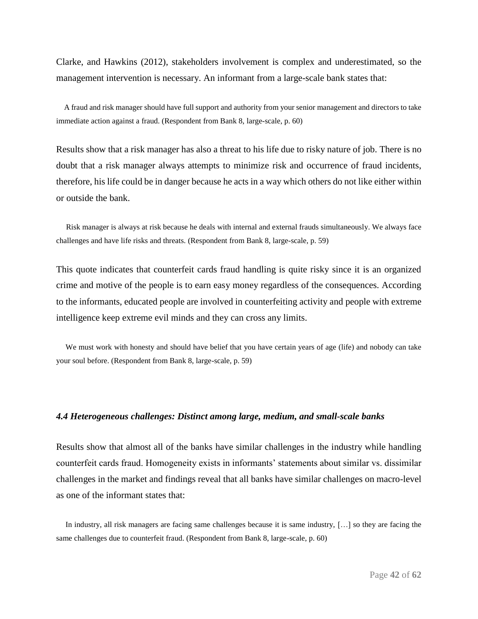Clarke, and Hawkins (2012), stakeholders involvement is complex and underestimated, so the management intervention is necessary. An informant from a large-scale bank states that:

 A fraud and risk manager should have full support and authority from your senior management and directors to take immediate action against a fraud. (Respondent from Bank 8, large-scale, p. 60)

Results show that a risk manager has also a threat to his life due to risky nature of job. There is no doubt that a risk manager always attempts to minimize risk and occurrence of fraud incidents, therefore, his life could be in danger because he acts in a way which others do not like either within or outside the bank.

 Risk manager is always at risk because he deals with internal and external frauds simultaneously. We always face challenges and have life risks and threats. (Respondent from Bank 8, large-scale, p. 59)

This quote indicates that counterfeit cards fraud handling is quite risky since it is an organized crime and motive of the people is to earn easy money regardless of the consequences. According to the informants, educated people are involved in counterfeiting activity and people with extreme intelligence keep extreme evil minds and they can cross any limits.

 We must work with honesty and should have belief that you have certain years of age (life) and nobody can take your soul before. (Respondent from Bank 8, large-scale, p. 59)

### *4.4 Heterogeneous challenges: Distinct among large, medium, and small-scale banks*

Results show that almost all of the banks have similar challenges in the industry while handling counterfeit cards fraud. Homogeneity exists in informants' statements about similar vs. dissimilar challenges in the market and findings reveal that all banks have similar challenges on macro-level as one of the informant states that:

 In industry, all risk managers are facing same challenges because it is same industry, […] so they are facing the same challenges due to counterfeit fraud. (Respondent from Bank 8, large-scale, p. 60)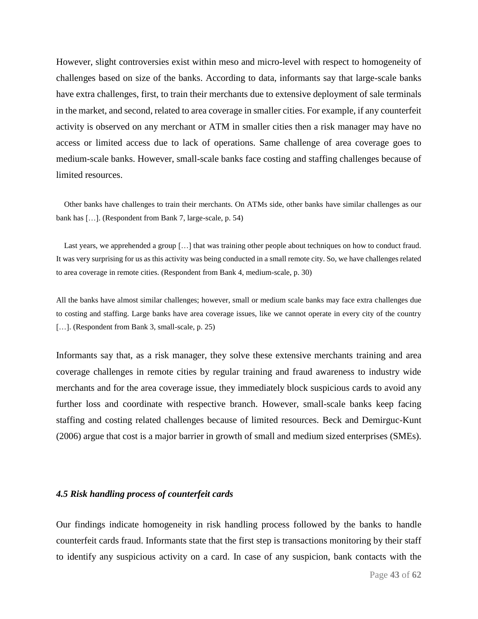However, slight controversies exist within meso and micro-level with respect to homogeneity of challenges based on size of the banks. According to data, informants say that large-scale banks have extra challenges, first, to train their merchants due to extensive deployment of sale terminals in the market, and second, related to area coverage in smaller cities. For example, if any counterfeit activity is observed on any merchant or ATM in smaller cities then a risk manager may have no access or limited access due to lack of operations. Same challenge of area coverage goes to medium-scale banks. However, small-scale banks face costing and staffing challenges because of limited resources.

 Other banks have challenges to train their merchants. On ATMs side, other banks have similar challenges as our bank has […]. (Respondent from Bank 7, large-scale, p. 54)

Last years, we apprehended a group [...] that was training other people about techniques on how to conduct fraud. It was very surprising for us as this activity was being conducted in a small remote city. So, we have challenges related to area coverage in remote cities. (Respondent from Bank 4, medium-scale, p. 30)

All the banks have almost similar challenges; however, small or medium scale banks may face extra challenges due to costing and staffing. Large banks have area coverage issues, like we cannot operate in every city of the country [...]. (Respondent from Bank 3, small-scale, p. 25)

Informants say that, as a risk manager, they solve these extensive merchants training and area coverage challenges in remote cities by regular training and fraud awareness to industry wide merchants and for the area coverage issue, they immediately block suspicious cards to avoid any further loss and coordinate with respective branch. However, small-scale banks keep facing staffing and costing related challenges because of limited resources. Beck and Demirguc-Kunt (2006) argue that cost is a major barrier in growth of small and medium sized enterprises (SMEs).

### *4.5 Risk handling process of counterfeit cards*

Our findings indicate homogeneity in risk handling process followed by the banks to handle counterfeit cards fraud. Informants state that the first step is transactions monitoring by their staff to identify any suspicious activity on a card. In case of any suspicion, bank contacts with the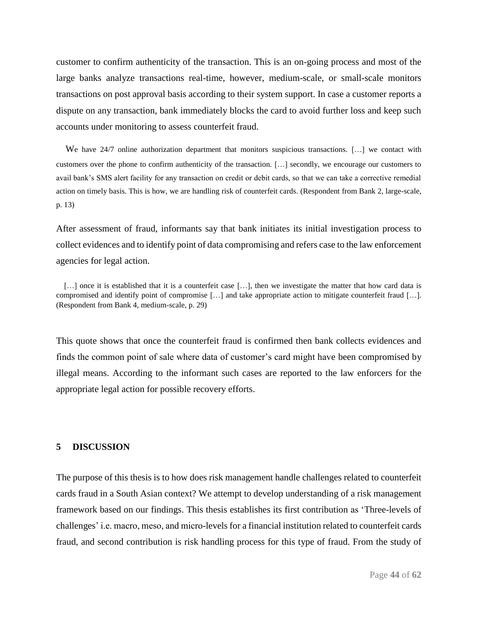customer to confirm authenticity of the transaction. This is an on-going process and most of the large banks analyze transactions real-time, however, medium-scale, or small-scale monitors transactions on post approval basis according to their system support. In case a customer reports a dispute on any transaction, bank immediately blocks the card to avoid further loss and keep such accounts under monitoring to assess counterfeit fraud.

 We have 24/7 online authorization department that monitors suspicious transactions. […] we contact with customers over the phone to confirm authenticity of the transaction. […] secondly, we encourage our customers to avail bank's SMS alert facility for any transaction on credit or debit cards, so that we can take a corrective remedial action on timely basis. This is how, we are handling risk of counterfeit cards. (Respondent from Bank 2, large-scale, p. 13)

After assessment of fraud, informants say that bank initiates its initial investigation process to collect evidences and to identify point of data compromising and refers case to the law enforcement agencies for legal action.

[...] once it is established that it is a counterfeit case [...], then we investigate the matter that how card data is compromised and identify point of compromise […] and take appropriate action to mitigate counterfeit fraud […]. (Respondent from Bank 4, medium-scale, p. 29)

This quote shows that once the counterfeit fraud is confirmed then bank collects evidences and finds the common point of sale where data of customer's card might have been compromised by illegal means. According to the informant such cases are reported to the law enforcers for the appropriate legal action for possible recovery efforts.

### **5 DISCUSSION**

The purpose of this thesis is to how does risk management handle challenges related to counterfeit cards fraud in a South Asian context? We attempt to develop understanding of a risk management framework based on our findings. This thesis establishes its first contribution as 'Three-levels of challenges' i.e. macro, meso, and micro-levels for a financial institution related to counterfeit cards fraud, and second contribution is risk handling process for this type of fraud. From the study of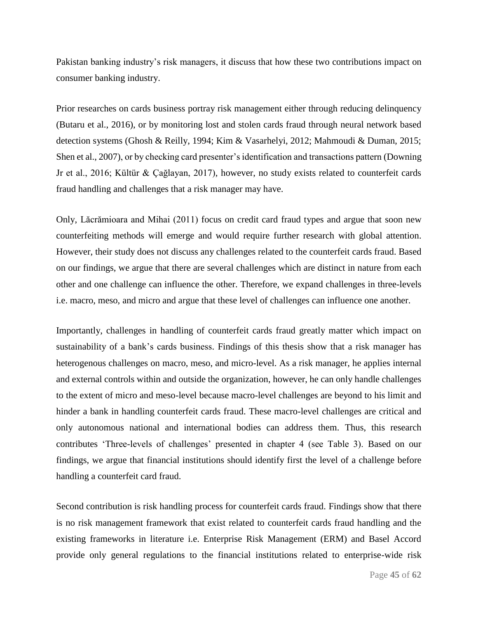Pakistan banking industry's risk managers, it discuss that how these two contributions impact on consumer banking industry.

Prior researches on cards business portray risk management either through reducing delinquency (Butaru et al., 2016), or by monitoring lost and stolen cards fraud through neural network based detection systems (Ghosh & Reilly, 1994; Kim & Vasarhelyi, 2012; Mahmoudi & Duman, 2015; Shen et al., 2007), or by checking card presenter's identification and transactions pattern (Downing Jr et al., 2016; Kültür & Çağlayan, 2017), however, no study exists related to counterfeit cards fraud handling and challenges that a risk manager may have.

Only, Lăcrămioara and Mihai (2011) focus on credit card fraud types and argue that soon new counterfeiting methods will emerge and would require further research with global attention. However, their study does not discuss any challenges related to the counterfeit cards fraud. Based on our findings, we argue that there are several challenges which are distinct in nature from each other and one challenge can influence the other. Therefore, we expand challenges in three-levels i.e. macro, meso, and micro and argue that these level of challenges can influence one another.

Importantly, challenges in handling of counterfeit cards fraud greatly matter which impact on sustainability of a bank's cards business. Findings of this thesis show that a risk manager has heterogenous challenges on macro, meso, and micro-level. As a risk manager, he applies internal and external controls within and outside the organization, however, he can only handle challenges to the extent of micro and meso-level because macro-level challenges are beyond to his limit and hinder a bank in handling counterfeit cards fraud. These macro-level challenges are critical and only autonomous national and international bodies can address them. Thus, this research contributes 'Three-levels of challenges' presented in chapter 4 (see Table 3). Based on our findings, we argue that financial institutions should identify first the level of a challenge before handling a counterfeit card fraud.

Second contribution is risk handling process for counterfeit cards fraud. Findings show that there is no risk management framework that exist related to counterfeit cards fraud handling and the existing frameworks in literature i.e. Enterprise Risk Management (ERM) and Basel Accord provide only general regulations to the financial institutions related to enterprise-wide risk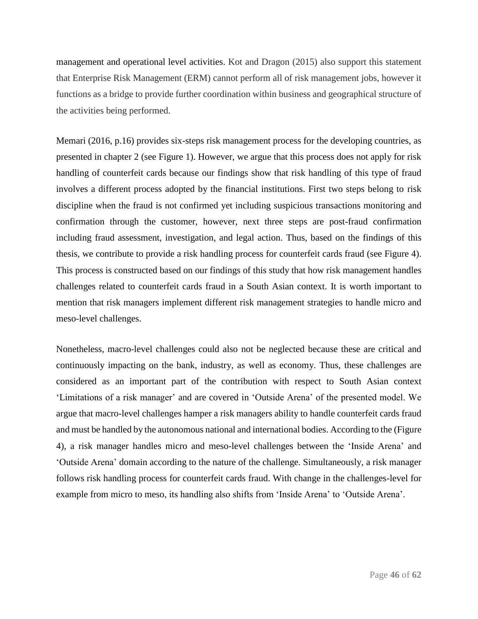management and operational level activities. Kot and Dragon (2015) also support this statement that Enterprise Risk Management (ERM) cannot perform all of risk management jobs, however it functions as a bridge to provide further coordination within business and geographical structure of the activities being performed.

Memari (2016, p.16) provides six-steps risk management process for the developing countries, as presented in chapter 2 (see Figure 1). However, we argue that this process does not apply for risk handling of counterfeit cards because our findings show that risk handling of this type of fraud involves a different process adopted by the financial institutions. First two steps belong to risk discipline when the fraud is not confirmed yet including suspicious transactions monitoring and confirmation through the customer, however, next three steps are post-fraud confirmation including fraud assessment, investigation, and legal action. Thus, based on the findings of this thesis, we contribute to provide a risk handling process for counterfeit cards fraud (see Figure 4). This process is constructed based on our findings of this study that how risk management handles challenges related to counterfeit cards fraud in a South Asian context. It is worth important to mention that risk managers implement different risk management strategies to handle micro and meso-level challenges.

Nonetheless, macro-level challenges could also not be neglected because these are critical and continuously impacting on the bank, industry, as well as economy. Thus, these challenges are considered as an important part of the contribution with respect to South Asian context 'Limitations of a risk manager' and are covered in 'Outside Arena' of the presented model. We argue that macro-level challenges hamper a risk managers ability to handle counterfeit cards fraud and must be handled by the autonomous national and international bodies. According to the (Figure 4), a risk manager handles micro and meso-level challenges between the 'Inside Arena' and 'Outside Arena' domain according to the nature of the challenge. Simultaneously, a risk manager follows risk handling process for counterfeit cards fraud. With change in the challenges-level for example from micro to meso, its handling also shifts from 'Inside Arena' to 'Outside Arena'.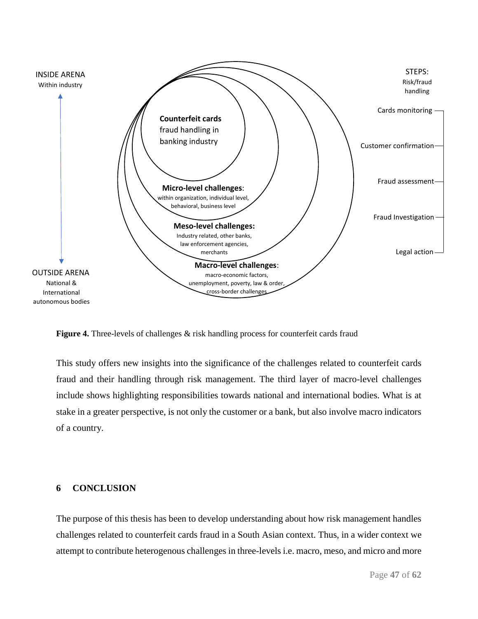

**Figure 4.** Three-levels of challenges & risk handling process for counterfeit cards fraud

This study offers new insights into the significance of the challenges related to counterfeit cards fraud and their handling through risk management. The third layer of macro-level challenges include shows highlighting responsibilities towards national and international bodies. What is at stake in a greater perspective, is not only the customer or a bank, but also involve macro indicators of a country.

### **6 CONCLUSION**

The purpose of this thesis has been to develop understanding about how risk management handles challenges related to counterfeit cards fraud in a South Asian context. Thus, in a wider context we attempt to contribute heterogenous challenges in three-levels i.e. macro, meso, and micro and more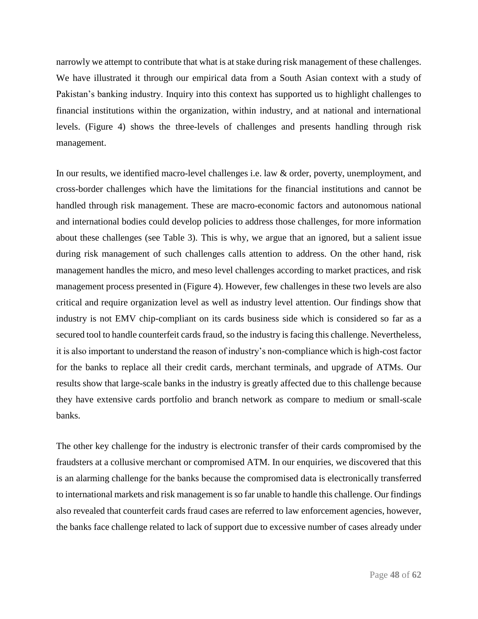narrowly we attempt to contribute that what is at stake during risk management of these challenges. We have illustrated it through our empirical data from a South Asian context with a study of Pakistan's banking industry. Inquiry into this context has supported us to highlight challenges to financial institutions within the organization, within industry, and at national and international levels. (Figure 4) shows the three-levels of challenges and presents handling through risk management.

In our results, we identified macro-level challenges i.e. law & order, poverty, unemployment, and cross-border challenges which have the limitations for the financial institutions and cannot be handled through risk management. These are macro-economic factors and autonomous national and international bodies could develop policies to address those challenges, for more information about these challenges (see Table 3). This is why, we argue that an ignored, but a salient issue during risk management of such challenges calls attention to address. On the other hand, risk management handles the micro, and meso level challenges according to market practices, and risk management process presented in (Figure 4). However, few challenges in these two levels are also critical and require organization level as well as industry level attention. Our findings show that industry is not EMV chip-compliant on its cards business side which is considered so far as a secured tool to handle counterfeit cards fraud, so the industry is facing this challenge. Nevertheless, it is also important to understand the reason of industry's non-compliance which is high-cost factor for the banks to replace all their credit cards, merchant terminals, and upgrade of ATMs. Our results show that large-scale banks in the industry is greatly affected due to this challenge because they have extensive cards portfolio and branch network as compare to medium or small-scale banks.

The other key challenge for the industry is electronic transfer of their cards compromised by the fraudsters at a collusive merchant or compromised ATM. In our enquiries, we discovered that this is an alarming challenge for the banks because the compromised data is electronically transferred to international markets and risk management is so far unable to handle this challenge. Our findings also revealed that counterfeit cards fraud cases are referred to law enforcement agencies, however, the banks face challenge related to lack of support due to excessive number of cases already under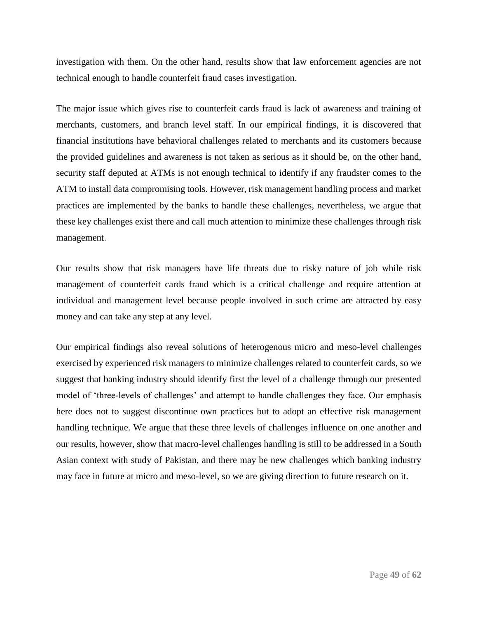investigation with them. On the other hand, results show that law enforcement agencies are not technical enough to handle counterfeit fraud cases investigation.

The major issue which gives rise to counterfeit cards fraud is lack of awareness and training of merchants, customers, and branch level staff. In our empirical findings, it is discovered that financial institutions have behavioral challenges related to merchants and its customers because the provided guidelines and awareness is not taken as serious as it should be, on the other hand, security staff deputed at ATMs is not enough technical to identify if any fraudster comes to the ATM to install data compromising tools. However, risk management handling process and market practices are implemented by the banks to handle these challenges, nevertheless, we argue that these key challenges exist there and call much attention to minimize these challenges through risk management.

Our results show that risk managers have life threats due to risky nature of job while risk management of counterfeit cards fraud which is a critical challenge and require attention at individual and management level because people involved in such crime are attracted by easy money and can take any step at any level.

Our empirical findings also reveal solutions of heterogenous micro and meso-level challenges exercised by experienced risk managers to minimize challenges related to counterfeit cards, so we suggest that banking industry should identify first the level of a challenge through our presented model of 'three-levels of challenges' and attempt to handle challenges they face. Our emphasis here does not to suggest discontinue own practices but to adopt an effective risk management handling technique. We argue that these three levels of challenges influence on one another and our results, however, show that macro-level challenges handling is still to be addressed in a South Asian context with study of Pakistan, and there may be new challenges which banking industry may face in future at micro and meso-level, so we are giving direction to future research on it.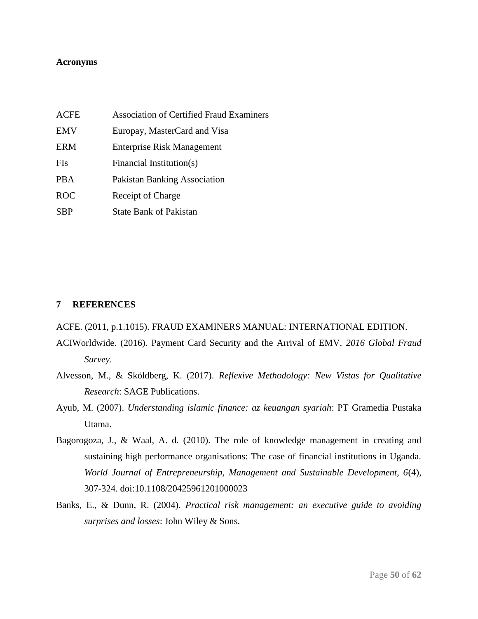### **Acronyms**

| ACFE       | <b>Association of Certified Fraud Examiners</b> |
|------------|-------------------------------------------------|
| <b>EMV</b> | Europay, MasterCard and Visa                    |
| ERM        | <b>Enterprise Risk Management</b>               |
| FIs        | Financial Institution(s)                        |
| PBA        | <b>Pakistan Banking Association</b>             |
| <b>ROC</b> | Receipt of Charge                               |
| <b>SBP</b> | <b>State Bank of Pakistan</b>                   |

### **7 REFERENCES**

### ACFE. (2011, p.1.1015). FRAUD EXAMINERS MANUAL: INTERNATIONAL EDITION.

- ACIWorldwide. (2016). Payment Card Security and the Arrival of EMV. *2016 Global Fraud Survey*.
- Alvesson, M., & Sköldberg, K. (2017). *Reflexive Methodology: New Vistas for Qualitative Research*: SAGE Publications.
- Ayub, M. (2007). *Understanding islamic finance: az keuangan syariah*: PT Gramedia Pustaka Utama.
- Bagorogoza, J., & Waal, A. d. (2010). The role of knowledge management in creating and sustaining high performance organisations: The case of financial institutions in Uganda. *World Journal of Entrepreneurship, Management and Sustainable Development, 6*(4), 307-324. doi:10.1108/20425961201000023
- Banks, E., & Dunn, R. (2004). *Practical risk management: an executive guide to avoiding surprises and losses*: John Wiley & Sons.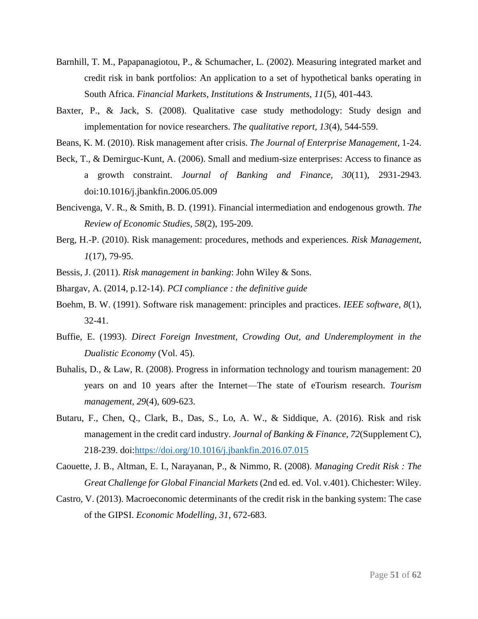- Barnhill, T. M., Papapanagiotou, P., & Schumacher, L. (2002). Measuring integrated market and credit risk in bank portfolios: An application to a set of hypothetical banks operating in South Africa. *Financial Markets, Institutions & Instruments, 11*(5), 401-443.
- Baxter, P., & Jack, S. (2008). Qualitative case study methodology: Study design and implementation for novice researchers. *The qualitative report, 13*(4), 544-559.
- Beans, K. M. (2010). Risk management after crisis. *The Journal of Enterprise Management*, 1-24.
- Beck, T., & Demirguc-Kunt, A. (2006). Small and medium-size enterprises: Access to finance as a growth constraint. *Journal of Banking and Finance, 30*(11), 2931-2943. doi:10.1016/j.jbankfin.2006.05.009
- Bencivenga, V. R., & Smith, B. D. (1991). Financial intermediation and endogenous growth. *The Review of Economic Studies, 58*(2), 195-209.
- Berg, H.-P. (2010). Risk management: procedures, methods and experiences. *Risk Management, 1*(17), 79-95.
- Bessis, J. (2011). *Risk management in banking*: John Wiley & Sons.
- Bhargav, A. (2014, p.12-14). *PCI compliance : the definitive guide*
- Boehm, B. W. (1991). Software risk management: principles and practices. *IEEE software, 8*(1), 32-41.
- Buffie, E. (1993). *Direct Foreign Investment, Crowding Out, and Underemployment in the Dualistic Economy* (Vol. 45).
- Buhalis, D., & Law, R. (2008). Progress in information technology and tourism management: 20 years on and 10 years after the Internet—The state of eTourism research. *Tourism management, 29*(4), 609-623.
- Butaru, F., Chen, Q., Clark, B., Das, S., Lo, A. W., & Siddique, A. (2016). Risk and risk management in the credit card industry. *Journal of Banking & Finance, 72*(Supplement C), 218-239. doi[:https://doi.org/10.1016/j.jbankfin.2016.07.015](https://doi.org/10.1016/j.jbankfin.2016.07.015)
- Caouette, J. B., Altman, E. I., Narayanan, P., & Nimmo, R. (2008). *Managing Credit Risk : The Great Challenge for Global Financial Markets* (2nd ed. ed. Vol. v.401). Chichester: Wiley.
- Castro, V. (2013). Macroeconomic determinants of the credit risk in the banking system: The case of the GIPSI. *Economic Modelling, 31*, 672-683.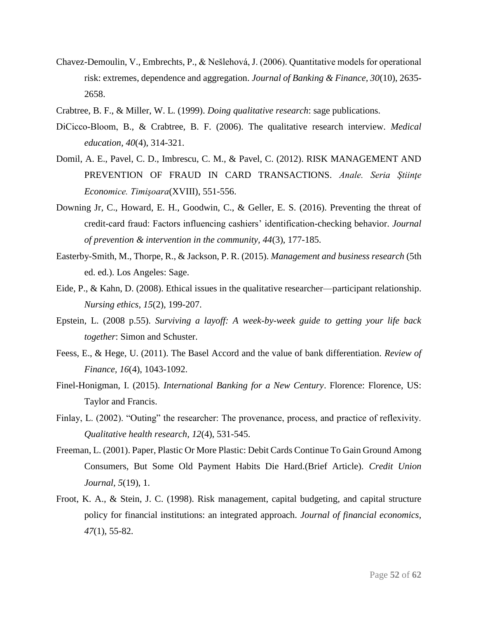- Chavez-Demoulin, V., Embrechts, P., & Nešlehová, J. (2006). Quantitative models for operational risk: extremes, dependence and aggregation. *Journal of Banking & Finance, 30*(10), 2635- 2658.
- Crabtree, B. F., & Miller, W. L. (1999). *Doing qualitative research*: sage publications.
- DiCicco‐Bloom, B., & Crabtree, B. F. (2006). The qualitative research interview. *Medical education, 40*(4), 314-321.
- Domil, A. E., Pavel, C. D., Imbrescu, C. M., & Pavel, C. (2012). RISK MANAGEMENT AND PREVENTION OF FRAUD IN CARD TRANSACTIONS. *Anale. Seria Ştiinţe Economice. Timişoara*(XVIII), 551-556.
- Downing Jr, C., Howard, E. H., Goodwin, C., & Geller, E. S. (2016). Preventing the threat of credit-card fraud: Factors influencing cashiers' identification-checking behavior. *Journal of prevention & intervention in the community, 44*(3), 177-185.
- Easterby-Smith, M., Thorpe, R., & Jackson, P. R. (2015). *Management and business research* (5th ed. ed.). Los Angeles: Sage.
- Eide, P., & Kahn, D. (2008). Ethical issues in the qualitative researcher—participant relationship. *Nursing ethics, 15*(2), 199-207.
- Epstein, L. (2008 p.55). *Surviving a layoff: A week-by-week guide to getting your life back together*: Simon and Schuster.
- Feess, E., & Hege, U. (2011). The Basel Accord and the value of bank differentiation. *Review of Finance, 16*(4), 1043-1092.
- Finel-Honigman, I. (2015). *International Banking for a New Century*. Florence: Florence, US: Taylor and Francis.
- Finlay, L. (2002). "Outing" the researcher: The provenance, process, and practice of reflexivity. *Qualitative health research, 12*(4), 531-545.
- Freeman, L. (2001). Paper, Plastic Or More Plastic: Debit Cards Continue To Gain Ground Among Consumers, But Some Old Payment Habits Die Hard.(Brief Article). *Credit Union Journal, 5*(19), 1.
- Froot, K. A., & Stein, J. C. (1998). Risk management, capital budgeting, and capital structure policy for financial institutions: an integrated approach. *Journal of financial economics, 47*(1), 55-82.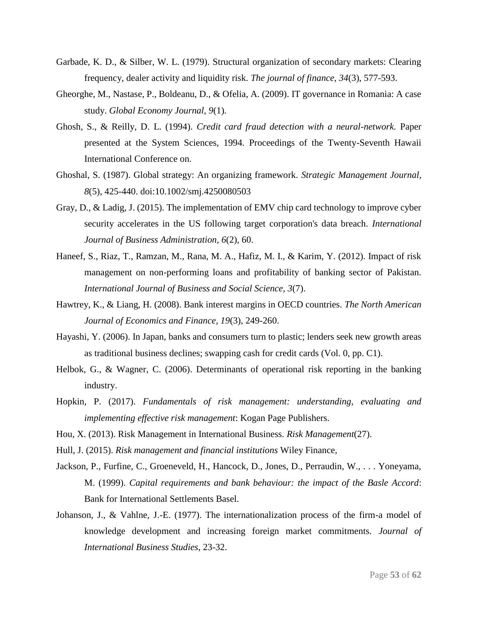- Garbade, K. D., & Silber, W. L. (1979). Structural organization of secondary markets: Clearing frequency, dealer activity and liquidity risk. *The journal of finance, 34*(3), 577-593.
- Gheorghe, M., Nastase, P., Boldeanu, D., & Ofelia, A. (2009). IT governance in Romania: A case study. *Global Economy Journal, 9*(1).
- Ghosh, S., & Reilly, D. L. (1994). *Credit card fraud detection with a neural-network.* Paper presented at the System Sciences, 1994. Proceedings of the Twenty-Seventh Hawaii International Conference on.
- Ghoshal, S. (1987). Global strategy: An organizing framework. *Strategic Management Journal, 8*(5), 425-440. doi:10.1002/smj.4250080503
- Gray, D., & Ladig, J. (2015). The implementation of EMV chip card technology to improve cyber security accelerates in the US following target corporation's data breach. *International Journal of Business Administration, 6*(2), 60.
- Haneef, S., Riaz, T., Ramzan, M., Rana, M. A., Hafiz, M. I., & Karim, Y. (2012). Impact of risk management on non-performing loans and profitability of banking sector of Pakistan. *International Journal of Business and Social Science, 3*(7).
- Hawtrey, K., & Liang, H. (2008). Bank interest margins in OECD countries. *The North American Journal of Economics and Finance, 19*(3), 249-260.
- Hayashi, Y. (2006). In Japan, banks and consumers turn to plastic; lenders seek new growth areas as traditional business declines; swapping cash for credit cards (Vol. 0, pp. C1).
- Helbok, G., & Wagner, C. (2006). Determinants of operational risk reporting in the banking industry.
- Hopkin, P. (2017). *Fundamentals of risk management: understanding, evaluating and implementing effective risk management*: Kogan Page Publishers.
- Hou, X. (2013). Risk Management in International Business. *Risk Management*(27).
- Hull, J. (2015). *Risk management and financial institutions* Wiley Finance,
- Jackson, P., Furfine, C., Groeneveld, H., Hancock, D., Jones, D., Perraudin, W., . . . Yoneyama, M. (1999). *Capital requirements and bank behaviour: the impact of the Basle Accord*: Bank for International Settlements Basel.
- Johanson, J., & Vahlne, J.-E. (1977). The internationalization process of the firm-a model of knowledge development and increasing foreign market commitments. *Journal of International Business Studies*, 23-32.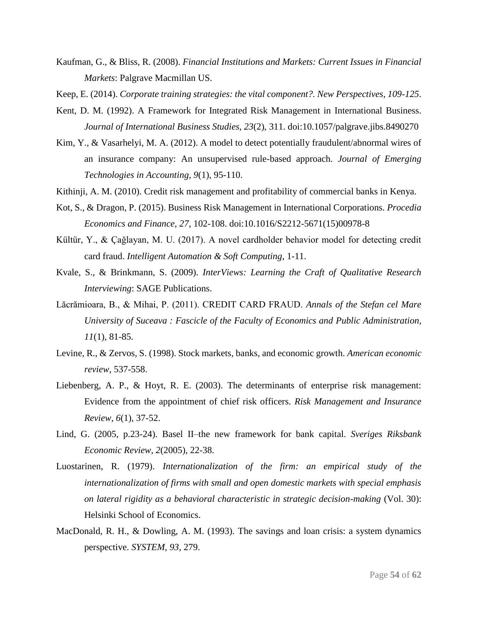- Kaufman, G., & Bliss, R. (2008). *Financial Institutions and Markets: Current Issues in Financial Markets*: Palgrave Macmillan US.
- Keep, E. (2014). *Corporate training strategies: the vital component?. New Perspectives, 109-125*.
- Kent, D. M. (1992). A Framework for Integrated Risk Management in International Business. *Journal of International Business Studies, 23*(2), 311. doi:10.1057/palgrave.jibs.8490270
- Kim, Y., & Vasarhelyi, M. A. (2012). A model to detect potentially fraudulent/abnormal wires of an insurance company: An unsupervised rule-based approach. *Journal of Emerging Technologies in Accounting, 9*(1), 95-110.
- Kithinji, A. M. (2010). Credit risk management and profitability of commercial banks in Kenya.
- Kot, S., & Dragon, P. (2015). Business Risk Management in International Corporations. *Procedia Economics and Finance, 27*, 102-108. doi:10.1016/S2212-5671(15)00978-8
- Kültür, Y., & Çağlayan, M. U. (2017). A novel cardholder behavior model for detecting credit card fraud. *Intelligent Automation & Soft Computing*, 1-11.
- Kvale, S., & Brinkmann, S. (2009). *InterViews: Learning the Craft of Qualitative Research Interviewing*: SAGE Publications.
- Lăcrămioara, B., & Mihai, P. (2011). CREDIT CARD FRAUD. *Annals of the Stefan cel Mare University of Suceava : Fascicle of the Faculty of Economics and Public Administration, 11*(1), 81-85.
- Levine, R., & Zervos, S. (1998). Stock markets, banks, and economic growth. *American economic review*, 537-558.
- Liebenberg, A. P., & Hoyt, R. E. (2003). The determinants of enterprise risk management: Evidence from the appointment of chief risk officers. *Risk Management and Insurance Review, 6*(1), 37-52.
- Lind, G. (2005, p.23-24). Basel II–the new framework for bank capital. *Sveriges Riksbank Economic Review, 2*(2005), 22-38.
- Luostarinen, R. (1979). *Internationalization of the firm: an empirical study of the internationalization of firms with small and open domestic markets with special emphasis on lateral rigidity as a behavioral characteristic in strategic decision-making* (Vol. 30): Helsinki School of Economics.
- MacDonald, R. H., & Dowling, A. M. (1993). The savings and loan crisis: a system dynamics perspective. *SYSTEM, 93*, 279.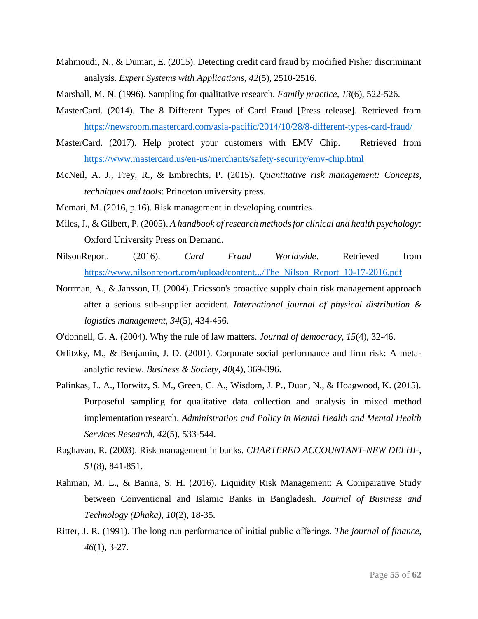- Mahmoudi, N., & Duman, E. (2015). Detecting credit card fraud by modified Fisher discriminant analysis. *Expert Systems with Applications, 42*(5), 2510-2516.
- Marshall, M. N. (1996). Sampling for qualitative research. *Family practice, 13*(6), 522-526.
- MasterCard. (2014). The 8 Different Types of Card Fraud [Press release]. Retrieved from <https://newsroom.mastercard.com/asia-pacific/2014/10/28/8-different-types-card-fraud/>
- MasterCard. (2017). Help protect your customers with EMV Chip. Retrieved from <https://www.mastercard.us/en-us/merchants/safety-security/emv-chip.html>
- McNeil, A. J., Frey, R., & Embrechts, P. (2015). *Quantitative risk management: Concepts, techniques and tools*: Princeton university press.
- Memari, M. (2016, p.16). Risk management in developing countries.
- Miles, J., & Gilbert, P. (2005). *A handbook of research methods for clinical and health psychology*: Oxford University Press on Demand.
- NilsonReport. (2016). *Card Fraud Worldwide*. Retrieved from [https://www.nilsonreport.com/upload/content.../The\\_Nilson\\_Report\\_10-17-2016.pdf](https://www.nilsonreport.com/upload/content.../The_Nilson_Report_10-17-2016.pdf)
- Norrman, A., & Jansson, U. (2004). Ericsson's proactive supply chain risk management approach after a serious sub-supplier accident. *International journal of physical distribution & logistics management, 34*(5), 434-456.
- O'donnell, G. A. (2004). Why the rule of law matters. *Journal of democracy, 15*(4), 32-46.
- Orlitzky, M., & Benjamin, J. D. (2001). Corporate social performance and firm risk: A metaanalytic review. *Business & Society, 40*(4), 369-396.
- Palinkas, L. A., Horwitz, S. M., Green, C. A., Wisdom, J. P., Duan, N., & Hoagwood, K. (2015). Purposeful sampling for qualitative data collection and analysis in mixed method implementation research. *Administration and Policy in Mental Health and Mental Health Services Research, 42*(5), 533-544.
- Raghavan, R. (2003). Risk management in banks. *CHARTERED ACCOUNTANT-NEW DELHI-, 51*(8), 841-851.
- Rahman, M. L., & Banna, S. H. (2016). Liquidity Risk Management: A Comparative Study between Conventional and Islamic Banks in Bangladesh. *Journal of Business and Technology (Dhaka), 10*(2), 18-35.
- Ritter, J. R. (1991). The long‐run performance of initial public offerings. *The journal of finance, 46*(1), 3-27.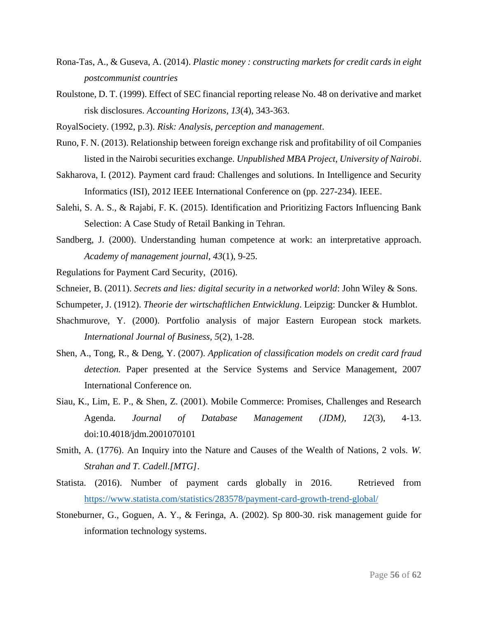- Rona-Tas, A., & Guseva, A. (2014). *Plastic money : constructing markets for credit cards in eight postcommunist countries*
- Roulstone, D. T. (1999). Effect of SEC financial reporting release No. 48 on derivative and market risk disclosures. *Accounting Horizons, 13*(4), 343-363.
- RoyalSociety. (1992, p.3). *Risk: Analysis, perception and management*.
- Runo, F. N. (2013). Relationship between foreign exchange risk and profitability of oil Companies listed in the Nairobi securities exchange. *Unpublished MBA Project, University of Nairobi*.
- Sakharova, I. (2012). Payment card fraud: Challenges and solutions. In Intelligence and Security Informatics (ISI), 2012 IEEE International Conference on (pp. 227-234). IEEE.
- Salehi, S. A. S., & Rajabi, F. K. (2015). Identification and Prioritizing Factors Influencing Bank Selection: A Case Study of Retail Banking in Tehran.
- Sandberg, J. (2000). Understanding human competence at work: an interpretative approach. *Academy of management journal, 43*(1), 9-25.
- Regulations for Payment Card Security, (2016).

Schneier, B. (2011). *Secrets and lies: digital security in a networked world*: John Wiley & Sons.

- Schumpeter, J. (1912). *Theorie der wirtschaftlichen Entwicklung*. Leipzig: Duncker & Humblot.
- Shachmurove, Y. (2000). Portfolio analysis of major Eastern European stock markets. *International Journal of Business, 5*(2), 1-28.
- Shen, A., Tong, R., & Deng, Y. (2007). *Application of classification models on credit card fraud detection.* Paper presented at the Service Systems and Service Management, 2007 International Conference on.
- Siau, K., Lim, E. P., & Shen, Z. (2001). Mobile Commerce: Promises, Challenges and Research Agenda. *Journal of Database Management (JDM), 12*(3), 4-13. doi:10.4018/jdm.2001070101
- Smith, A. (1776). An Inquiry into the Nature and Causes of the Wealth of Nations, 2 vols. *W. Strahan and T. Cadell.[MTG]*.
- Statista. (2016). Number of payment cards globally in 2016. Retrieved from <https://www.statista.com/statistics/283578/payment-card-growth-trend-global/>
- Stoneburner, G., Goguen, A. Y., & Feringa, A. (2002). Sp 800-30. risk management guide for information technology systems.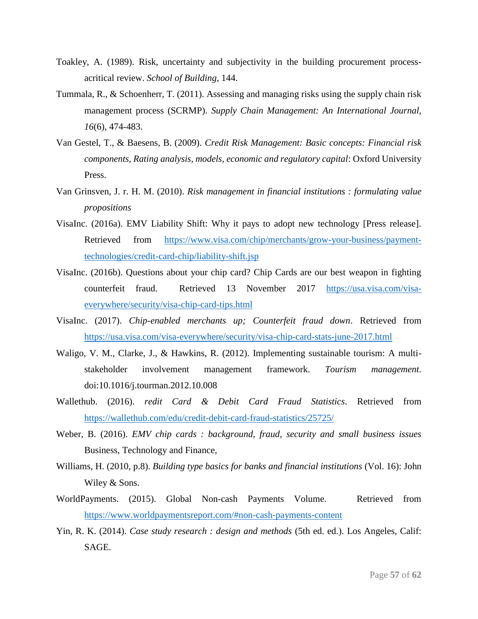- Toakley, A. (1989). Risk, uncertainty and subjectivity in the building procurement processacritical review. *School of Building*, 144.
- Tummala, R., & Schoenherr, T. (2011). Assessing and managing risks using the supply chain risk management process (SCRMP). *Supply Chain Management: An International Journal, 16*(6), 474-483.
- Van Gestel, T., & Baesens, B. (2009). *Credit Risk Management: Basic concepts: Financial risk components, Rating analysis, models, economic and regulatory capital*: Oxford University Press.
- Van Grinsven, J. r. H. M. (2010). *Risk management in financial institutions : formulating value propositions*
- VisaInc. (2016a). EMV Liability Shift: Why it pays to adopt new technology [Press release]. Retrieved from [https://www.visa.com/chip/merchants/grow-your-business/payment](https://www.visa.com/chip/merchants/grow-your-business/payment-technologies/credit-card-chip/liability-shift.jsp)[technologies/credit-card-chip/liability-shift.jsp](https://www.visa.com/chip/merchants/grow-your-business/payment-technologies/credit-card-chip/liability-shift.jsp)
- VisaInc. (2016b). Questions about your chip card? Chip Cards are our best weapon in fighting counterfeit fraud. Retrieved 13 November 2017 [https://usa.visa.com/visa](https://usa.visa.com/visa-everywhere/security/visa-chip-card-tips.html)[everywhere/security/visa-chip-card-tips.html](https://usa.visa.com/visa-everywhere/security/visa-chip-card-tips.html)
- VisaInc. (2017). *Chip-enabled merchants up; Counterfeit fraud down*. Retrieved from <https://usa.visa.com/visa-everywhere/security/visa-chip-card-stats-june-2017.html>
- Waligo, V. M., Clarke, J., & Hawkins, R. (2012). Implementing sustainable tourism: A multistakeholder involvement management framework. *Tourism management*. doi:10.1016/j.tourman.2012.10.008
- Wallethub. (2016). *redit Card & Debit Card Fraud Statistics*. Retrieved from <https://wallethub.com/edu/credit-debit-card-fraud-statistics/25725/>
- Weber, B. (2016). *EMV chip cards : background, fraud, security and small business issues* Business, Technology and Finance,
- Williams, H. (2010, p.8). *Building type basics for banks and financial institutions* (Vol. 16): John Wiley & Sons.
- WorldPayments. (2015). Global Non-cash Payments Volume. Retrieved from <https://www.worldpaymentsreport.com/#non-cash-payments-content>
- Yin, R. K. (2014). *Case study research : design and methods* (5th ed. ed.). Los Angeles, Calif: SAGE.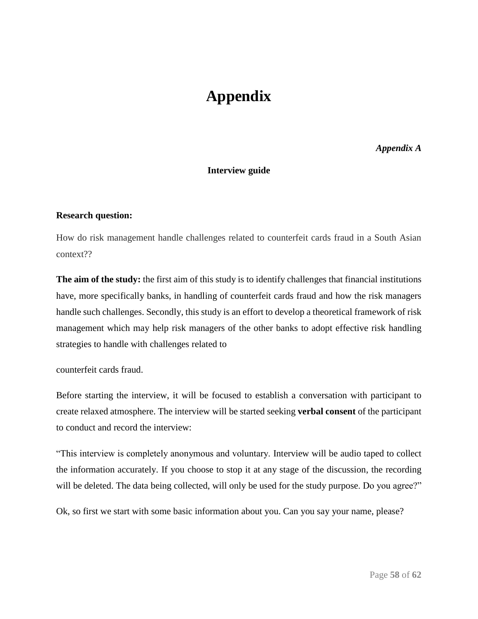# **Appendix**

*Appendix A*

### **Interview guide**

### **Research question:**

How do risk management handle challenges related to counterfeit cards fraud in a South Asian context??

**The aim of the study:** the first aim of this study is to identify challenges that financial institutions have, more specifically banks, in handling of counterfeit cards fraud and how the risk managers handle such challenges. Secondly, this study is an effort to develop a theoretical framework of risk management which may help risk managers of the other banks to adopt effective risk handling strategies to handle with challenges related to

counterfeit cards fraud.

Before starting the interview, it will be focused to establish a conversation with participant to create relaxed atmosphere. The interview will be started seeking **verbal consent** of the participant to conduct and record the interview:

"This interview is completely anonymous and voluntary. Interview will be audio taped to collect the information accurately. If you choose to stop it at any stage of the discussion, the recording will be deleted. The data being collected, will only be used for the study purpose. Do you agree?"

Ok, so first we start with some basic information about you. Can you say your name, please?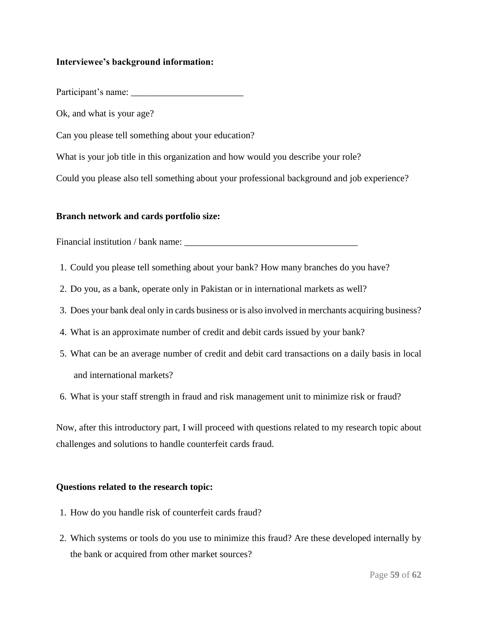### **Interviewee's background information:**

Participant's name:

Ok, and what is your age?

Can you please tell something about your education?

What is your job title in this organization and how would you describe your role?

Could you please also tell something about your professional background and job experience?

### **Branch network and cards portfolio size:**

Financial institution / bank name:

- 1. Could you please tell something about your bank? How many branches do you have?
- 2. Do you, as a bank, operate only in Pakistan or in international markets as well?
- 3. Does your bank deal only in cards business or is also involved in merchants acquiring business?
- 4. What is an approximate number of credit and debit cards issued by your bank?
- 5. What can be an average number of credit and debit card transactions on a daily basis in local and international markets?
- 6. What is your staff strength in fraud and risk management unit to minimize risk or fraud?

Now, after this introductory part, I will proceed with questions related to my research topic about challenges and solutions to handle counterfeit cards fraud.

### **Questions related to the research topic:**

- 1. How do you handle risk of counterfeit cards fraud?
- 2. Which systems or tools do you use to minimize this fraud? Are these developed internally by the bank or acquired from other market sources?